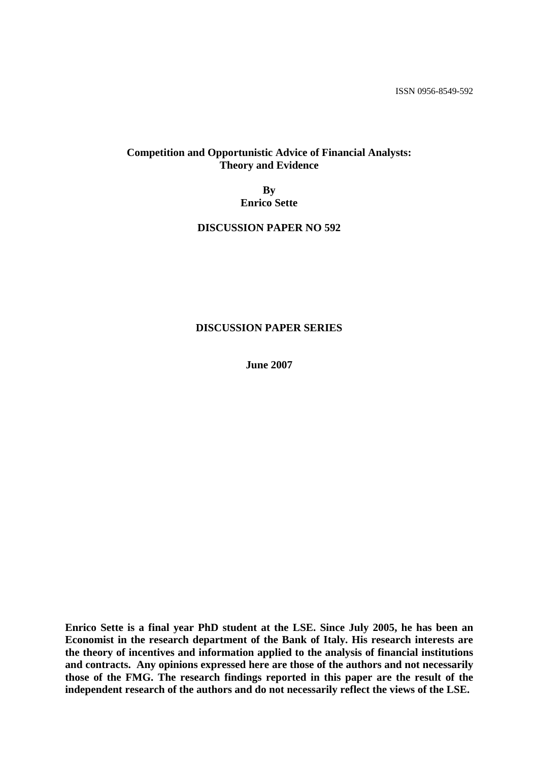ISSN 0956-8549-592

# **Competition and Opportunistic Advice of Financial Analysts: Theory and Evidence**

**By Enrico Sette** 

# **DISCUSSION PAPER NO 592**

### **DISCUSSION PAPER SERIES**

**June 2007** 

**Enrico Sette is a final year PhD student at the LSE. Since July 2005, he has been an Economist in the research department of the Bank of Italy. His research interests are the theory of incentives and information applied to the analysis of financial institutions and contracts. Any opinions expressed here are those of the authors and not necessarily those of the FMG. The research findings reported in this paper are the result of the independent research of the authors and do not necessarily reflect the views of the LSE.**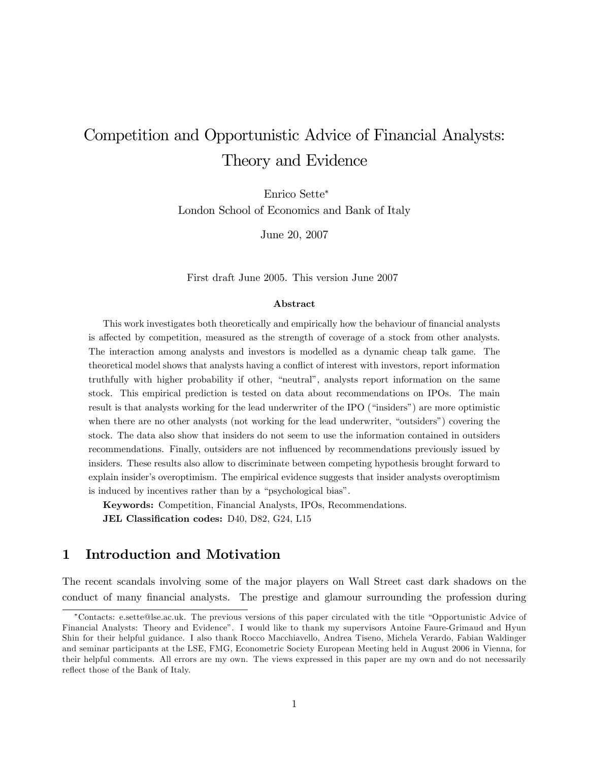# Competition and Opportunistic Advice of Financial Analysts: Theory and Evidence

Enrico Sette London School of Economics and Bank of Italy

June 20, 2007

First draft June 2005. This version June 2007

#### Abstract

This work investigates both theoretically and empirically how the behaviour of financial analysts is affected by competition, measured as the strength of coverage of a stock from other analysts. The interaction among analysts and investors is modelled as a dynamic cheap talk game. The theoretical model shows that analysts having a conflict of interest with investors, report information truthfully with higher probability if other, "neutral", analysts report information on the same stock. This empirical prediction is tested on data about recommendations on IPOs. The main result is that analysts working for the lead underwriter of the IPO ("insiders") are more optimistic when there are no other analysts (not working for the lead underwriter, "outsiders") covering the stock. The data also show that insiders do not seem to use the information contained in outsiders recommendations. Finally, outsiders are not ináuenced by recommendations previously issued by insiders. These results also allow to discriminate between competing hypothesis brought forward to explain insider's overoptimism. The empirical evidence suggests that insider analysts overoptimism is induced by incentives rather than by a "psychological bias".

Keywords: Competition, Financial Analysts, IPOs, Recommendations.

JEL Classification codes: D40, D82, G24, L15

# 1 Introduction and Motivation

The recent scandals involving some of the major players on Wall Street cast dark shadows on the conduct of many financial analysts. The prestige and glamour surrounding the profession during

Contacts: e.sette@lse.ac.uk. The previous versions of this paper circulated with the title ìOpportunistic Advice of Financial Analysts: Theory and Evidenceî. I would like to thank my supervisors Antoine Faure-Grimaud and Hyun Shin for their helpful guidance. I also thank Rocco Macchiavello, Andrea Tiseno, Michela Verardo, Fabian Waldinger and seminar participants at the LSE, FMG, Econometric Society European Meeting held in August 2006 in Vienna, for their helpful comments. All errors are my own. The views expressed in this paper are my own and do not necessarily reflect those of the Bank of Italy.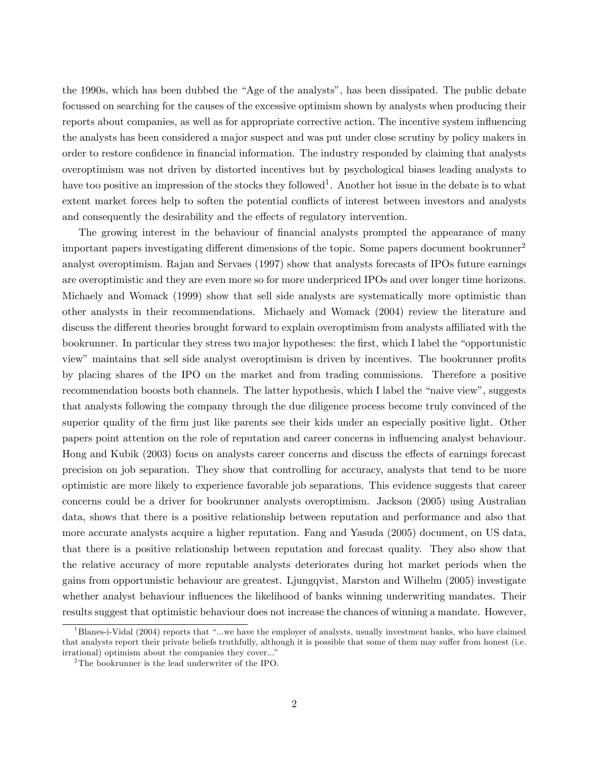the 1990s, which has been dubbed the "Age of the analysts", has been dissipated. The public debate focussed on searching for the causes of the excessive optimism shown by analysts when producing their reports about companies, as well as for appropriate corrective action. The incentive system ináuencing the analysts has been considered a major suspect and was put under close scrutiny by policy makers in order to restore confidence in financial information. The industry responded by claiming that analysts overoptimism was not driven by distorted incentives but by psychological biases leading analysts to have too positive an impression of the stocks they followed<sup>1</sup>. Another hot issue in the debate is to what extent market forces help to soften the potential conflicts of interest between investors and analysts and consequently the desirability and the effects of regulatory intervention.

The growing interest in the behaviour of financial analysts prompted the appearance of many important papers investigating different dimensions of the topic. Some papers document bookrunner<sup>2</sup> analyst overoptimism. Rajan and Servaes (1997) show that analysts forecasts of IPOs future earnings are overoptimistic and they are even more so for more underpriced IPOs and over longer time horizons. Michaely and Womack (1999) show that sell side analysts are systematically more optimistic than other analysts in their recommendations. Michaely and Womack (2004) review the literature and discuss the different theories brought forward to explain overoptimism from analysts affiliated with the bookrunner. In particular they stress two major hypotheses: the first, which I label the "opportunistic view" maintains that sell side analyst overoptimism is driven by incentives. The bookrunner profits by placing shares of the IPO on the market and from trading commissions. Therefore a positive recommendation boosts both channels. The latter hypothesis, which I label the "naive view", suggests that analysts following the company through the due diligence process become truly convinced of the superior quality of the firm just like parents see their kids under an especially positive light. Other papers point attention on the role of reputation and career concerns in ináuencing analyst behaviour. Hong and Kubik (2003) focus on analysts career concerns and discuss the effects of earnings forecast precision on job separation. They show that controlling for accuracy, analysts that tend to be more optimistic are more likely to experience favorable job separations. This evidence suggests that career concerns could be a driver for bookrunner analysts overoptimism. Jackson (2005) using Australian data, shows that there is a positive relationship between reputation and performance and also that more accurate analysts acquire a higher reputation. Fang and Yasuda (2005) document, on US data, that there is a positive relationship between reputation and forecast quality. They also show that the relative accuracy of more reputable analysts deteriorates during hot market periods when the gains from opportunistic behaviour are greatest. Ljungqvist, Marston and Wilhelm (2005) investigate whether analyst behaviour influences the likelihood of banks winning underwriting mandates. Their results suggest that optimistic behaviour does not increase the chances of winning a mandate. However,

 $1<sup>1</sup>$ Blanes-i-Vidal (2004) reports that "...we have the employer of analysts, usually investment banks, who have claimed that analysts report their private beliefs truthfully, although it is possible that some of them may suffer from honest (i.e. irrational) optimism about the companies they cover..."

<sup>&</sup>lt;sup>2</sup>The bookrunner is the lead underwriter of the IPO.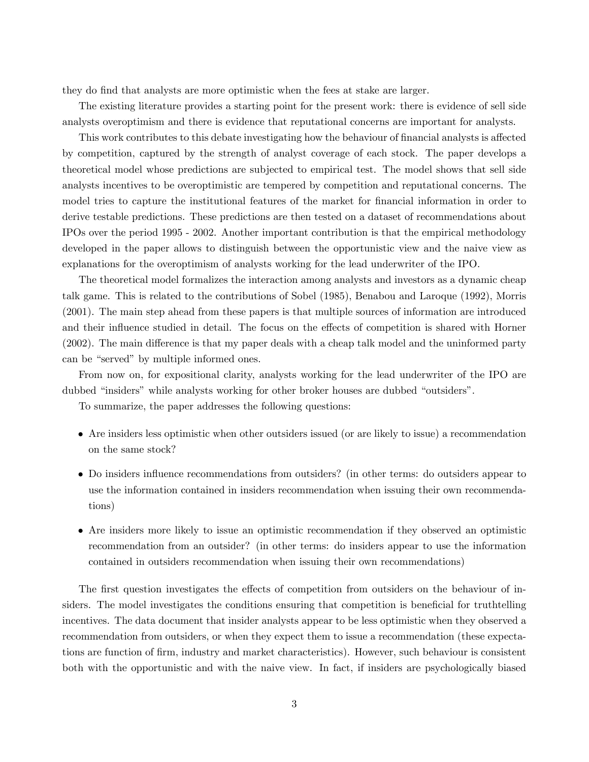they do Önd that analysts are more optimistic when the fees at stake are larger.

The existing literature provides a starting point for the present work: there is evidence of sell side analysts overoptimism and there is evidence that reputational concerns are important for analysts.

This work contributes to this debate investigating how the behaviour of financial analysts is affected by competition, captured by the strength of analyst coverage of each stock. The paper develops a theoretical model whose predictions are subjected to empirical test. The model shows that sell side analysts incentives to be overoptimistic are tempered by competition and reputational concerns. The model tries to capture the institutional features of the market for financial information in order to derive testable predictions. These predictions are then tested on a dataset of recommendations about IPOs over the period 1995 - 2002. Another important contribution is that the empirical methodology developed in the paper allows to distinguish between the opportunistic view and the naive view as explanations for the overoptimism of analysts working for the lead underwriter of the IPO.

The theoretical model formalizes the interaction among analysts and investors as a dynamic cheap talk game. This is related to the contributions of Sobel (1985), Benabou and Laroque (1992), Morris (2001). The main step ahead from these papers is that multiple sources of information are introduced and their influence studied in detail. The focus on the effects of competition is shared with Horner  $(2002)$ . The main difference is that my paper deals with a cheap talk model and the uninformed party can be "served" by multiple informed ones.

From now on, for expositional clarity, analysts working for the lead underwriter of the IPO are dubbed "insiders" while analysts working for other broker houses are dubbed "outsiders".

To summarize, the paper addresses the following questions:

- Are insiders less optimistic when other outsiders issued (or are likely to issue) a recommendation on the same stock?
- Do insiders influence recommendations from outsiders? (in other terms: do outsiders appear to use the information contained in insiders recommendation when issuing their own recommendations)
- Are insiders more likely to issue an optimistic recommendation if they observed an optimistic recommendation from an outsider? (in other terms: do insiders appear to use the information contained in outsiders recommendation when issuing their own recommendations)

The first question investigates the effects of competition from outsiders on the behaviour of insiders. The model investigates the conditions ensuring that competition is beneficial for truthtelling incentives. The data document that insider analysts appear to be less optimistic when they observed a recommendation from outsiders, or when they expect them to issue a recommendation (these expectations are function of Örm, industry and market characteristics). However, such behaviour is consistent both with the opportunistic and with the naive view. In fact, if insiders are psychologically biased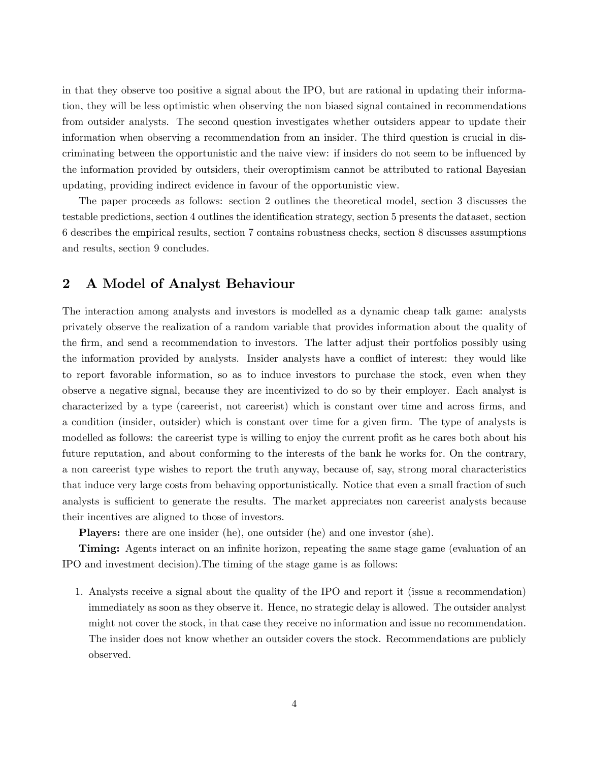in that they observe too positive a signal about the IPO, but are rational in updating their information, they will be less optimistic when observing the non biased signal contained in recommendations from outsider analysts. The second question investigates whether outsiders appear to update their information when observing a recommendation from an insider. The third question is crucial in discriminating between the opportunistic and the naive view: if insiders do not seem to be influenced by the information provided by outsiders, their overoptimism cannot be attributed to rational Bayesian updating, providing indirect evidence in favour of the opportunistic view.

The paper proceeds as follows: section 2 outlines the theoretical model, section 3 discusses the testable predictions, section 4 outlines the identification strategy, section 5 presents the dataset, section 6 describes the empirical results, section 7 contains robustness checks, section 8 discusses assumptions and results, section 9 concludes.

# 2 A Model of Analyst Behaviour

The interaction among analysts and investors is modelled as a dynamic cheap talk game: analysts privately observe the realization of a random variable that provides information about the quality of the Örm, and send a recommendation to investors. The latter adjust their portfolios possibly using the information provided by analysts. Insider analysts have a conflict of interest: they would like to report favorable information, so as to induce investors to purchase the stock, even when they observe a negative signal, because they are incentivized to do so by their employer. Each analyst is characterized by a type (careerist, not careerist) which is constant over time and across firms, and a condition (insider, outsider) which is constant over time for a given firm. The type of analysts is modelled as follows: the careerist type is willing to enjoy the current profit as he cares both about his future reputation, and about conforming to the interests of the bank he works for. On the contrary, a non careerist type wishes to report the truth anyway, because of, say, strong moral characteristics that induce very large costs from behaving opportunistically. Notice that even a small fraction of such analysts is sufficient to generate the results. The market appreciates non careerist analysts because their incentives are aligned to those of investors.

Players: there are one insider (he), one outsider (he) and one investor (she).

**Timing:** Agents interact on an infinite horizon, repeating the same stage game (evaluation of an IPO and investment decision).The timing of the stage game is as follows:

1. Analysts receive a signal about the quality of the IPO and report it (issue a recommendation) immediately as soon as they observe it. Hence, no strategic delay is allowed. The outsider analyst might not cover the stock, in that case they receive no information and issue no recommendation. The insider does not know whether an outsider covers the stock. Recommendations are publicly observed.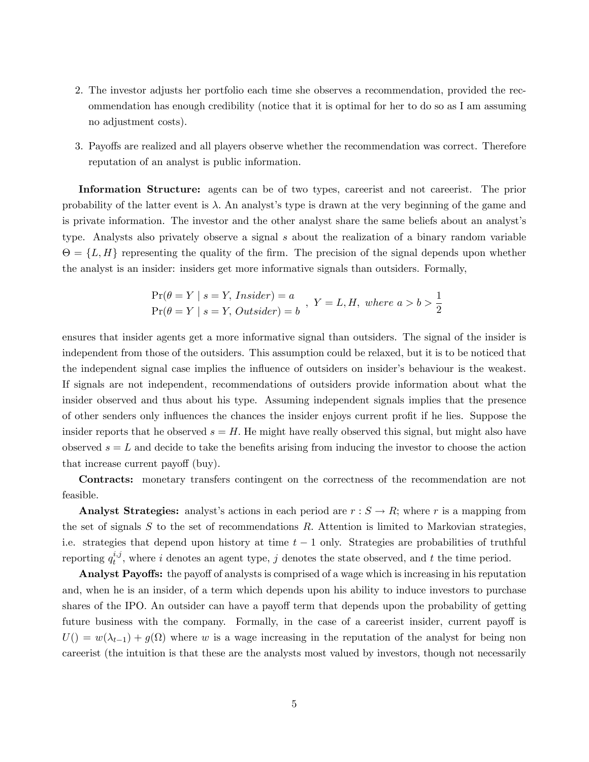- 2. The investor adjusts her portfolio each time she observes a recommendation, provided the recommendation has enough credibility (notice that it is optimal for her to do so as I am assuming no adjustment costs).
- 3. Payoffs are realized and all players observe whether the recommendation was correct. Therefore reputation of an analyst is public information.

Information Structure: agents can be of two types, careerist and not careerist. The prior probability of the latter event is  $\lambda$ . An analyst's type is drawn at the very beginning of the game and is private information. The investor and the other analyst share the same beliefs about an analyst's type. Analysts also privately observe a signal s about the realization of a binary random variable  $\Theta = \{L, H\}$  representing the quality of the firm. The precision of the signal depends upon whether the analyst is an insider: insiders get more informative signals than outsiders. Formally,

$$
\Pr(\theta = Y \mid s = Y, Insider) = a
$$
  
\n
$$
\Pr(\theta = Y \mid s = Y, Outsider) = b
$$
,  $Y = L, H$ , where  $a > b > \frac{1}{2}$ 

ensures that insider agents get a more informative signal than outsiders. The signal of the insider is independent from those of the outsiders. This assumption could be relaxed, but it is to be noticed that the independent signal case implies the influence of outsiders on insider's behaviour is the weakest. If signals are not independent, recommendations of outsiders provide information about what the insider observed and thus about his type. Assuming independent signals implies that the presence of other senders only influences the chances the insider enjoys current profit if he lies. Suppose the insider reports that he observed  $s = H$ . He might have really observed this signal, but might also have observed  $s = L$  and decide to take the benefits arising from inducing the investor to choose the action that increase current payoff (buy).

Contracts: monetary transfers contingent on the correctness of the recommendation are not feasible.

Analyst Strategies: analyst's actions in each period are  $r : S \to R$ ; where r is a mapping from the set of signals S to the set of recommendations R. Attention is limited to Markovian strategies, i.e. strategies that depend upon history at time  $t-1$  only. Strategies are probabilities of truthful reporting  $q_t^{i,j}$  $t_i^{i,j}$ , where i denotes an agent type, j denotes the state observed, and t the time period.

Analyst Payoffs: the payoff of analysts is comprised of a wage which is increasing in his reputation and, when he is an insider, of a term which depends upon his ability to induce investors to purchase shares of the IPO. An outsider can have a payoff term that depends upon the probability of getting future business with the company. Formally, in the case of a careerist insider, current payoff is  $U() = w(\lambda_{t-1}) + g(\Omega)$  where w is a wage increasing in the reputation of the analyst for being non careerist (the intuition is that these are the analysts most valued by investors, though not necessarily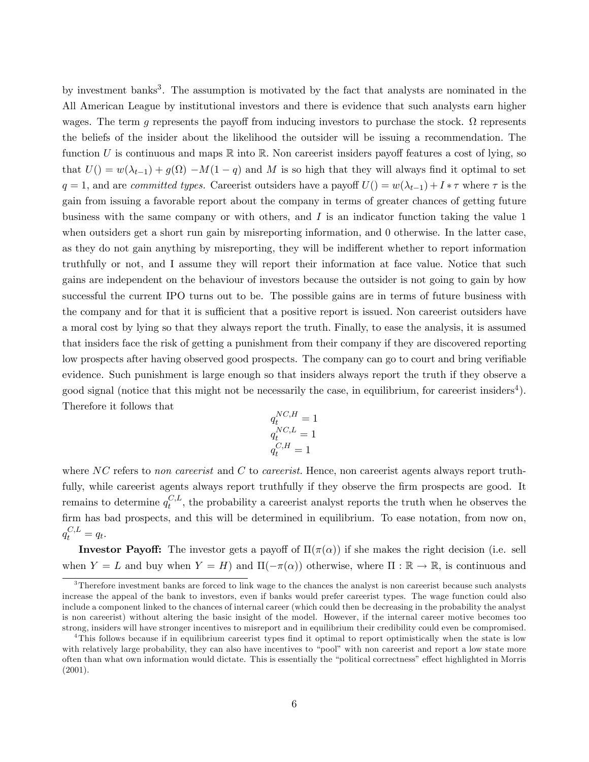by investment banks<sup>3</sup>. The assumption is motivated by the fact that analysts are nominated in the All American League by institutional investors and there is evidence that such analysts earn higher wages. The term g represents the payoff from inducing investors to purchase the stock.  $\Omega$  represents the beliefs of the insider about the likelihood the outsider will be issuing a recommendation: The function U is continuous and maps  $\mathbb R$  into  $\mathbb R$ . Non careerist insiders payoff features a cost of lying, so that  $U() = w(\lambda_{t-1}) + g(\Omega) - M(1 - q)$  and M is so high that they will always find it optimal to set  $q = 1$ , and are committed types. Careerist outsiders have a payoff  $U()=w(\lambda_{t-1})+I*\tau$  where  $\tau$  is the gain from issuing a favorable report about the company in terms of greater chances of getting future business with the same company or with others, and  $I$  is an indicator function taking the value 1 when outsiders get a short run gain by misreporting information, and 0 otherwise. In the latter case, as they do not gain anything by misreporting, they will be indifferent whether to report information truthfully or not, and I assume they will report their information at face value. Notice that such gains are independent on the behaviour of investors because the outsider is not going to gain by how successful the current IPO turns out to be. The possible gains are in terms of future business with the company and for that it is sufficient that a positive report is issued. Non careerist outsiders have a moral cost by lying so that they always report the truth. Finally, to ease the analysis, it is assumed that insiders face the risk of getting a punishment from their company if they are discovered reporting low prospects after having observed good prospects. The company can go to court and bring verifiable evidence. Such punishment is large enough so that insiders always report the truth if they observe a good signal (notice that this might not be necessarily the case, in equilibrium, for careerist insiders<sup>4</sup>). Therefore it follows that

$$
\begin{aligned} q_t^{NC,H} &= 1 \\ q_t^{NC,L} &= 1 \\ q_t^{C,H} &= 1 \end{aligned}
$$

where  $NC$  refers to non careerist and C to careerist. Hence, non careerist agents always report truthfully, while careerist agents always report truthfully if they observe the firm prospects are good. It remains to determine  $q_t^{C,L}$  $t^{0,L}$ , the probability a careerist analyst reports the truth when he observes the firm has bad prospects, and this will be determined in equilibrium. To ease notation, from now on,  $q_t^{C,L} = q_t.$ 

**Investor Payoff:** The investor gets a payoff of  $\Pi(\pi(\alpha))$  if she makes the right decision (i.e. sell when  $Y = L$  and buy when  $Y = H$ ) and  $\Pi(-\pi(\alpha))$  otherwise, where  $\Pi : \mathbb{R} \to \mathbb{R}$ , is continuous and

<sup>&</sup>lt;sup>3</sup>Therefore investment banks are forced to link wage to the chances the analyst is non careerist because such analysts increase the appeal of the bank to investors, even if banks would prefer careerist types. The wage function could also include a component linked to the chances of internal career (which could then be decreasing in the probability the analyst is non careerist) without altering the basic insight of the model. However, if the internal career motive becomes too strong, insiders will have stronger incentives to misreport and in equilibrium their credibility could even be compromised.

<sup>&</sup>lt;sup>4</sup>This follows because if in equilibrium careerist types find it optimal to report optimistically when the state is low with relatively large probability, they can also have incentives to "pool" with non careerist and report a low state more often than what own information would dictate. This is essentially the "political correctness" effect highlighted in Morris (2001).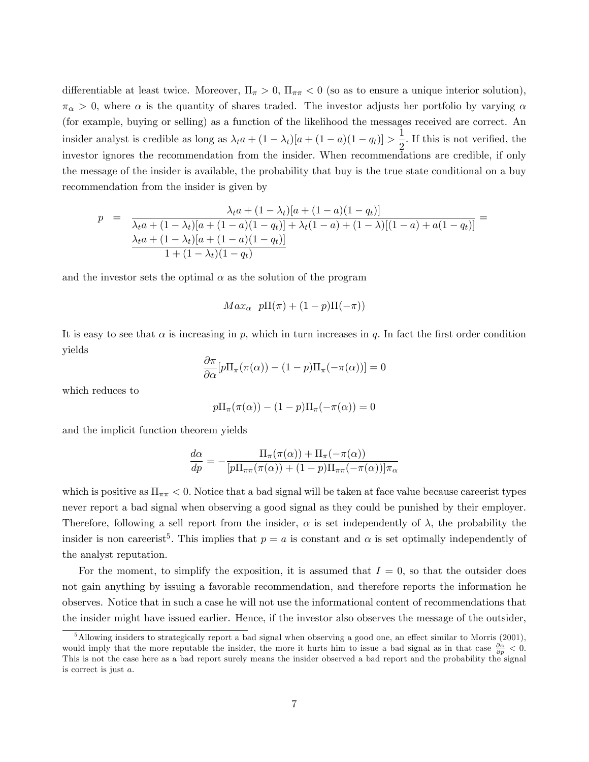differentiable at least twice. Moreover,  $\Pi_{\pi} > 0$ ,  $\Pi_{\pi\pi} < 0$  (so as to ensure a unique interior solution),  $\pi_{\alpha} > 0$ , where  $\alpha$  is the quantity of shares traded. The investor adjusts her portfolio by varying  $\alpha$ (for example, buying or selling) as a function of the likelihood the messages received are correct. An insider analyst is credible as long as  $\lambda_t a + (1 - \lambda_t)[a + (1 - a)(1 - q_t)] > \frac{1}{2}$  $\frac{1}{2}$ . If this is not verified, the investor ignores the recommendation from the insider. When recommendations are credible, if only the message of the insider is available, the probability that buy is the true state conditional on a buy recommendation from the insider is given by

$$
p = \frac{\lambda_t a + (1 - \lambda_t)[a + (1 - a)(1 - q_t)]}{\lambda_t a + (1 - \lambda_t)[a + (1 - a)(1 - q_t)] + \lambda_t (1 - a) + (1 - \lambda)[(1 - a) + a(1 - q_t)]} = \frac{\lambda_t a + (1 - \lambda_t)[a + (1 - a)(1 - q_t)]}{1 + (1 - \lambda_t)(1 - q_t)}
$$

and the investor sets the optimal  $\alpha$  as the solution of the program

$$
Max_{\alpha} \ p\Pi(\pi) + (1-p)\Pi(-\pi))
$$

It is easy to see that  $\alpha$  is increasing in p, which in turn increases in q. In fact the first order condition yields

$$
\frac{\partial \pi}{\partial \alpha} [p \Pi_{\pi}(\pi(\alpha)) - (1 - p) \Pi_{\pi}(-\pi(\alpha))] = 0
$$

which reduces to

$$
p\Pi_{\pi}(\pi(\alpha)) - (1 - p)\Pi_{\pi}(-\pi(\alpha)) = 0
$$

and the implicit function theorem yields

$$
\frac{d\alpha}{dp} = -\frac{\Pi_{\pi}(\pi(\alpha)) + \Pi_{\pi}(-\pi(\alpha))}{[p\Pi_{\pi\pi}(\pi(\alpha)) + (1-p)\Pi_{\pi\pi}(-\pi(\alpha))] \pi_{\alpha}}
$$

which is positive as  $\Pi_{\pi\pi} < 0$ . Notice that a bad signal will be taken at face value because careerist types never report a bad signal when observing a good signal as they could be punished by their employer. Therefore, following a sell report from the insider,  $\alpha$  is set independently of  $\lambda$ , the probability the insider is non careerist<sup>5</sup>. This implies that  $p = a$  is constant and  $\alpha$  is set optimally independently of the analyst reputation.

For the moment, to simplify the exposition, it is assumed that  $I = 0$ , so that the outsider does not gain anything by issuing a favorable recommendation, and therefore reports the information he observes. Notice that in such a case he will not use the informational content of recommendations that the insider might have issued earlier. Hence, if the investor also observes the message of the outsider,

 $5$ Allowing insiders to strategically report a bad signal when observing a good one, an effect similar to Morris (2001), would imply that the more reputable the insider, the more it hurts him to issue a bad signal as in that case  $\frac{\partial \alpha}{\partial p} < 0$ . This is not the case here as a bad report surely means the insider observed a bad report and the probability the signal is correct is just a: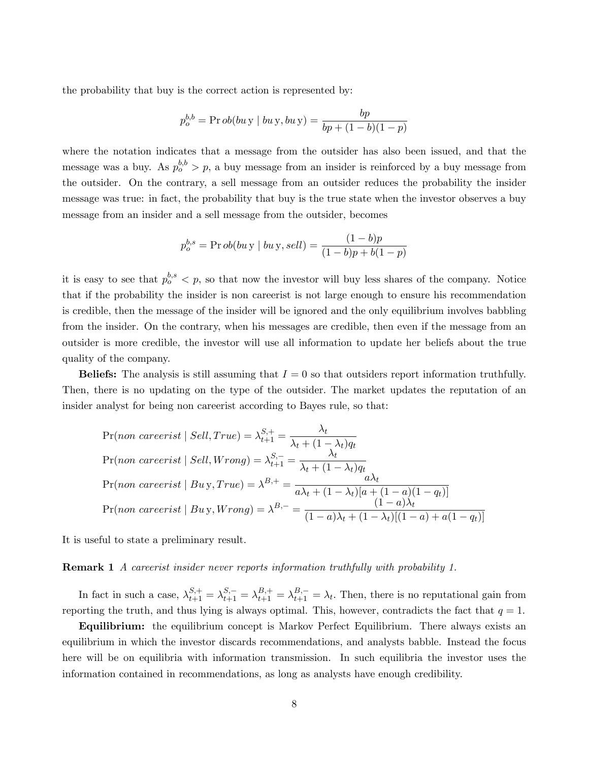the probability that buy is the correct action is represented by:

$$
p_o^{b,b} = \Pr{ob(bu \, y \mid bu \, y, bu \, y)} = \frac{bp}{bp + (1 - b)(1 - p)}
$$

where the notation indicates that a message from the outsider has also been issued, and that the message was a buy. As  $p_o^{b,b} > p$ , a buy message from an insider is reinforced by a buy message from the outsider. On the contrary, a sell message from an outsider reduces the probability the insider message was true: in fact, the probability that buy is the true state when the investor observes a buy message from an insider and a sell message from the outsider, becomes

$$
p_o^{b,s} = \Pr ob(bu \, y \mid bu \, y, sell) = \frac{(1 - b)p}{(1 - b)p + b(1 - p)}
$$

it is easy to see that  $p_o^{b,s} < p$ , so that now the investor will buy less shares of the company. Notice that if the probability the insider is non careerist is not large enough to ensure his recommendation is credible, then the message of the insider will be ignored and the only equilibrium involves babbling from the insider. On the contrary, when his messages are credible, then even if the message from an outsider is more credible, the investor will use all information to update her beliefs about the true quality of the company.

**Beliefs:** The analysis is still assuming that  $I = 0$  so that outsiders report information truthfully. Then, there is no updating on the type of the outsider. The market updates the reputation of an insider analyst for being non careerist according to Bayes rule, so that:

$$
\Pr(\text{non \text{ \textit{careerist}} \mid \textit{Sell}, \textit{True}) = \lambda_{t+1}^{S,+} = \frac{\lambda_t}{\lambda_t + (1 - \lambda_t)q_t}
$$
\n
$$
\Pr(\text{non \text{ \textit{careerist}} \mid \textit{Sell}, \textit{Wrong}) = \lambda_{t+1}^{S,-} = \frac{\lambda_t}{\lambda_t + (1 - \lambda_t)q_t}
$$
\n
$$
\Pr(\text{non \text{ \textit{careerist}} \mid \textit{Buy}, \textit{True}) = \lambda^{B,+} = \frac{a\lambda_t}{a\lambda_t + (1 - \lambda_t)[a + (1 - a)(1 - q_t)]}
$$
\n
$$
\Pr(\text{non \text{ \textit{careerist}} \mid \textit{Buy}, \textit{Wrong}) = \lambda^{B,-} = \frac{(1 - a)\lambda_t}{(1 - a)\lambda_t + (1 - \lambda_t)[(1 - a) + a(1 - q_t)]}
$$

It is useful to state a preliminary result.

**Remark 1** A careerist insider never reports information truthfully with probability 1.

In fact in such a case,  $\lambda_{t+1}^{S,+} = \lambda_{t+1}^{S,-} = \lambda_{t+1}^{B,+} = \lambda_{t+1}^{B,-} = \lambda_t$ . Then, there is no reputational gain from reporting the truth, and thus lying is always optimal. This, however, contradicts the fact that  $q = 1$ .

Equilibrium: the equilibrium concept is Markov Perfect Equilibrium. There always exists an equilibrium in which the investor discards recommendations, and analysts babble. Instead the focus here will be on equilibria with information transmission. In such equilibria the investor uses the information contained in recommendations, as long as analysts have enough credibility.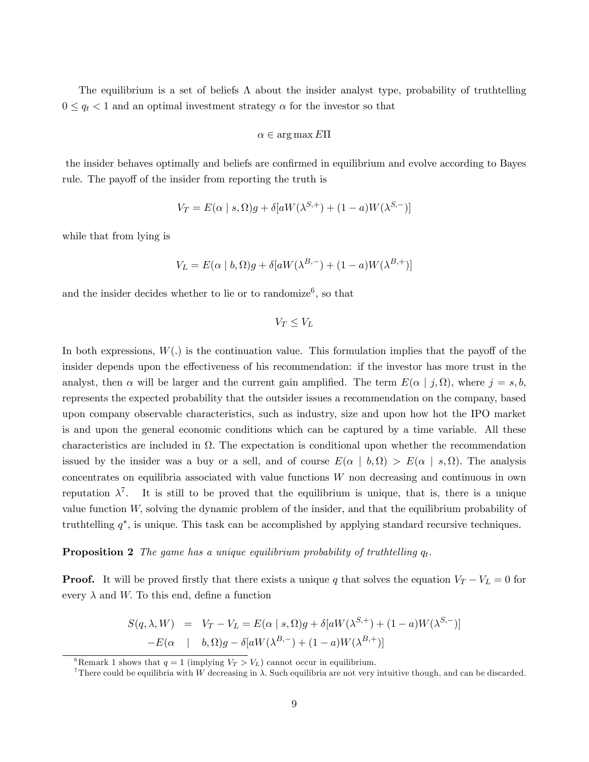The equilibrium is a set of beliefs  $\Lambda$  about the insider analyst type, probability of truthtelling  $0 \leq q_t < 1$  and an optimal investment strategy  $\alpha$  for the investor so that

$$
\alpha \in \arg\max E\Pi
$$

the insider behaves optimally and beliefs are confirmed in equilibrium and evolve according to Bayes rule. The payoff of the insider from reporting the truth is

$$
V_T = E(\alpha \mid s, \Omega)g + \delta[aW(\lambda^{S,+}) + (1-a)W(\lambda^{S,-})]
$$

while that from lying is

$$
V_L = E(\alpha | b, \Omega)g + \delta[aW(\lambda^{B,-}) + (1-a)W(\lambda^{B,+})]
$$

and the insider decides whether to lie or to randomize<sup>6</sup>, so that

 $V_T < V_L$ 

In both expressions,  $W(.)$  is the continuation value. This formulation implies that the payoff of the insider depends upon the effectiveness of his recommendation: if the investor has more trust in the analyst, then  $\alpha$  will be larger and the current gain amplified. The term  $E(\alpha | j, \Omega)$ , where  $j = s, b$ , represents the expected probability that the outsider issues a recommendation on the company, based upon company observable characteristics, such as industry, size and upon how hot the IPO market is and upon the general economic conditions which can be captured by a time variable. All these characteristics are included in  $\Omega$ . The expectation is conditional upon whether the recommendation issued by the insider was a buy or a sell, and of course  $E(\alpha | b, \Omega) > E(\alpha | s, \Omega)$ . The analysis concentrates on equilibria associated with value functions  $W$  non decreasing and continuous in own reputation  $\lambda^7$ . It is still to be proved that the equilibrium is unique, that is, there is a unique value function W; solving the dynamic problem of the insider, and that the equilibrium probability of truthtelling  $q^*$ , is unique. This task can be accomplished by applying standard recursive techniques.

**Proposition 2** The game has a unique equilibrium probability of truthtelling  $q_t$ .

**Proof.** It will be proved firstly that there exists a unique q that solves the equation  $V_T - V_L = 0$  for every  $\lambda$  and W. To this end, define a function

$$
S(q, \lambda, W) = V_T - V_L = E(\alpha | s, \Omega)g + \delta[aW(\lambda^{S,+}) + (1-a)W(\lambda^{S,-})]
$$

$$
-E(\alpha | b, \Omega)g - \delta[aW(\lambda^{B,-}) + (1-a)W(\lambda^{B,+})]
$$

<sup>6</sup>Remark 1 shows that  $q = 1$  (implying  $V_T > V_L$ ) cannot occur in equilibrium.

There could be equilibria with W decreasing in  $\lambda$ . Such equilibria are not very intuitive though, and can be discarded.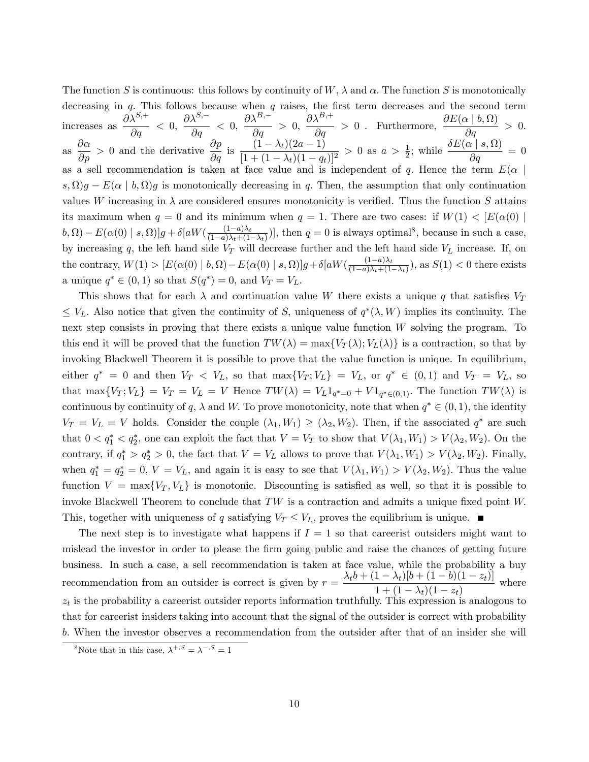The function S is continuous: this follows by continuity of W,  $\lambda$  and  $\alpha$ . The function S is monotonically decreasing in  $q$ . This follows because when  $q$  raises, the first term decreases and the second term increases as  $\frac{\partial \lambda^{S,+}}{\partial \lambda}$  $\frac{\partial}{\partial q} < 0$ ,  $\partial \lambda^{S,-}$  $\frac{\partial}{\partial q} < 0$ ,  $\partial \lambda^{B,-}$  $\frac{1}{\partial q} > 0,$  $\frac{\partial \lambda^{B,+}}{\partial q} > 0$  . Furthermore,  $\frac{\partial E(\alpha \mid b, \Omega)}{\partial q} > 0$ . as  $\frac{\partial \alpha}{\partial p} > 0$  and the derivative  $\frac{\partial p}{\partial q}$  is  $\frac{(1 - \lambda_t)(2a - 1)}{[1 + (1 - \lambda_t)(1 - q_t)]}$  $[1 + (1 - \lambda_t)(1 - q_t)]^2$  $> 0$  as  $a > \frac{1}{2}$ ; while  $\frac{\delta E(\alpha \mid s, \Omega)}{\partial q} = 0$ as a sell recommendation is taken at face value and is independent of q. Hence the term  $E(\alpha)$  $(s, \Omega)g - E(\alpha | b, \Omega)g$  is monotonically decreasing in q. Then, the assumption that only continuation values W increasing in  $\lambda$  are considered ensures monotonicity is verified. Thus the function S attains its maximum when  $q = 0$  and its minimum when  $q = 1$ . There are two cases: if  $W(1) < [E(\alpha(0))]$  $(b, \Omega) - E(\alpha(0) | s, \Omega)]g + \delta[aW(\frac{(1-a)\lambda_t}{(1-a)\lambda_t + (1-a)\Omega(t)})]$  $\frac{(1-a)\lambda_t}{(1-a)\lambda_t+(1-\lambda_t)}$ , then  $q=0$  is always optimal<sup>8</sup>, because in such a case, by increasing q, the left hand side  $V_T$  will decrease further and the left hand side  $V_L$  increase. If, on the contrary,  $W(1) > [E(\alpha(0) | b, \Omega) - E(\alpha(0) | s, \Omega)]g + \delta[aW(\frac{(1-a)\lambda_t}{(1-a)\lambda_t + (1-a)\lambda_t + (1-a)\lambda_t + (1-a)\lambda_t + (1-a)\lambda_t + (1-a)\lambda_t + (1-a)\lambda_t + (1-a)\lambda_t + (1-a)\lambda_t + (1-a)\lambda_t + (1-a)\lambda_t + (1-a)\lambda_t + (1-a)\lambda_t + (1-a)\lambda_t + (1-a)\lambda_t + (1-a)\lambda_t + (1-a)\lambda_t + (1-a)\lambda_t + (1-a)\lambda_t + (1-a)\lambda_t + (1-a)\lambda_t + (1-a)\lambda_t + (1-a)\lambda_t$  $\frac{(1-a)\lambda_t}{(1-a)\lambda_t+(1-\lambda_t)}$ , as  $S(1) < 0$  there exists a unique  $q^* \in (0, 1)$  so that  $S(q^*) = 0$ , and  $V_T = V_L$ .

This shows that for each  $\lambda$  and continuation value W there exists a unique q that satisfies  $V_T$  $\leq V_L$ . Also notice that given the continuity of S, uniqueness of  $q^*(\lambda, W)$  implies its continuity. The next step consists in proving that there exists a unique value function W solving the program. To this end it will be proved that the function  $TW(\lambda) = \max\{V_T(\lambda); V_L(\lambda)\}\)$  is a contraction, so that by invoking Blackwell Theorem it is possible to prove that the value function is unique. In equilibrium, either  $q^* = 0$  and then  $V_T < V_L$ , so that  $\max\{V_T; V_L\} = V_L$ , or  $q^* \in (0,1)$  and  $V_T = V_L$ , so that max $\{V_T; V_L\} = V_T = V_L = V$  Hence  $TW(\lambda) = V_L 1_{q^*=0} + V 1_{q^* \in (0,1)}$ . The function  $TW(\lambda)$  is continuous by continuity of q,  $\lambda$  and W. To prove monotonicity, note that when  $q^* \in (0,1)$ , the identity  $V_T = V_L = V$  holds. Consider the couple  $(\lambda_1, W_1) \ge (\lambda_2, W_2)$ . Then, if the associated  $q^*$  are such that  $0 < q_1^* < q_2^*$ , one can exploit the fact that  $V = V_T$  to show that  $V(\lambda_1, W_1) > V(\lambda_2, W_2)$ . On the contrary, if  $q_1^* > q_2^* > 0$ , the fact that  $V = V_L$  allows to prove that  $V(\lambda_1, W_1) > V(\lambda_2, W_2)$ . Finally, when  $q_1^* = q_2^* = 0$ ,  $V = V_L$ , and again it is easy to see that  $V(\lambda_1, W_1) > V(\lambda_2, W_2)$ . Thus the value function  $V = \max\{V_T, V_L\}$  is monotonic. Discounting is satisfied as well, so that it is possible to invoke Blackwell Theorem to conclude that  $TW$  is a contraction and admits a unique fixed point  $W$ . This, together with uniqueness of q satisfying  $V_T \leq V_L$ , proves the equilibrium is unique.

The next step is to investigate what happens if  $I = 1$  so that careerist outsiders might want to mislead the investor in order to please the firm going public and raise the chances of getting future business. In such a case, a sell recommendation is taken at face value, while the probability a buy recommendation from an outsider is correct is given by  $r = \frac{\lambda_t b + (1 - \lambda_t)[b + (1 - b)(1 - z_t)]}{1 + (1 - \lambda_t)(1 - \lambda_t)}$  $\frac{1 + (1 - \lambda_t)(1 - z_t)}{1 + (1 - \lambda_t)(1 - z_t)}$  where  $z_t$  is the probability a careerist outsider reports information truthfully. This expression is analogous to that for careerist insiders taking into account that the signal of the outsider is correct with probability b: When the investor observes a recommendation from the outsider after that of an insider she will

<sup>&</sup>lt;sup>8</sup>Note that in this case,  $\lambda^{+,S} = \lambda^{-,S} = 1$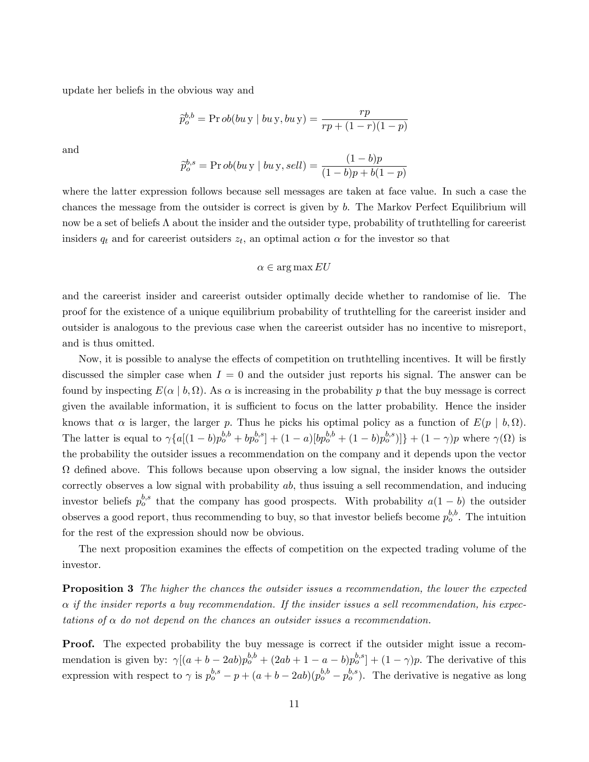update her beliefs in the obvious way and

$$
\tilde{p}_{o}^{b,b} = \Pr{ob(bu \, y \mid bu \, y, bu \, y)} = \frac{rp}{rp + (1 - r)(1 - p)}
$$

and

$$
\tilde{p}_{o}^{b,s} = \Pr ob(bu \, y \mid bu \, y, sell) = \frac{(1 - b)p}{(1 - b)p + b(1 - p)}
$$

where the latter expression follows because sell messages are taken at face value. In such a case the chances the message from the outsider is correct is given by b. The Markov Perfect Equilibrium will now be a set of beliefs  $\Lambda$  about the insider and the outsider type, probability of truthtelling for careerist insiders  $q_t$  and for careerist outsiders  $z_t$ , an optimal action  $\alpha$  for the investor so that

#### $\alpha \in \arg \max EU$

and the careerist insider and careerist outsider optimally decide whether to randomise of lie. The proof for the existence of a unique equilibrium probability of truthtelling for the careerist insider and outsider is analogous to the previous case when the careerist outsider has no incentive to misreport, and is thus omitted.

Now, it is possible to analyse the effects of competition on truthtelling incentives. It will be firstly discussed the simpler case when  $I = 0$  and the outsider just reports his signal. The answer can be found by inspecting  $E(\alpha | b, \Omega)$ . As  $\alpha$  is increasing in the probability p that the buy message is correct given the available information, it is sufficient to focus on the latter probability. Hence the insider knows that  $\alpha$  is larger, the larger p. Thus he picks his optimal policy as a function of  $E(p | b, \Omega)$ . The latter is equal to  $\gamma \{a[(1-b)p_o^{b,b} + bp_o^{b,s}] + (1-a)[bp_o^{b,b} + (1-b)p_o^{b,s})]\} + (1-\gamma)p$  where  $\gamma(\Omega)$  is the probability the outsider issues a recommendation on the company and it depends upon the vector  $\Omega$  defined above. This follows because upon observing a low signal, the insider knows the outsider correctly observes a low signal with probability  $ab$ , thus issuing a sell recommendation, and inducing investor beliefs  $p_o^{b,s}$  that the company has good prospects. With probability  $a(1-b)$  the outsider observes a good report, thus recommending to buy, so that investor beliefs become  $p_o^{b,b}$ . The intuition for the rest of the expression should now be obvious.

The next proposition examines the effects of competition on the expected trading volume of the investor.

**Proposition 3** The higher the chances the outsider issues a recommendation, the lower the expected  $\alpha$  if the insider reports a buy recommendation. If the insider issues a sell recommendation, his expectations of  $\alpha$  do not depend on the chances an outsider issues a recommendation.

Proof. The expected probability the buy message is correct if the outsider might issue a recommendation is given by:  $\gamma[(a+b-2ab)p_o^{b,b}+(2ab+1-a-b)p_o^{b,s}] + (1-\gamma)p$ . The derivative of this expression with respect to  $\gamma$  is  $p_o^{b,s} - p + (a + b - 2ab)(p_o^{b,b} - p_o^{b,s})$ . The derivative is negative as long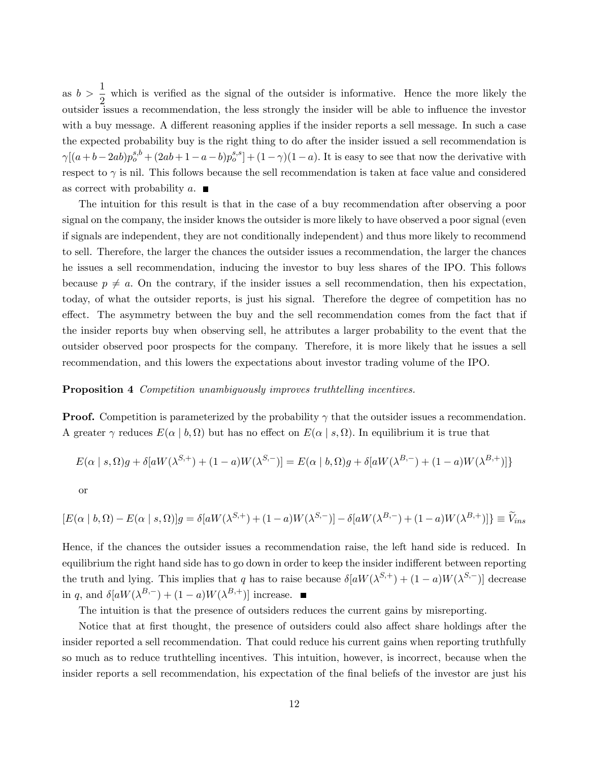as  $b > \frac{1}{2}$  which is verified as the signal of the outsider is informative. Hence the more likely the outsider issues a recommendation, the less strongly the insider will be able to influence the investor with a buy message. A different reasoning applies if the insider reports a sell message. In such a case the expected probability buy is the right thing to do after the insider issued a sell recommendation is  $\gamma[(a+b-2ab)p_o^{s,b} + (2ab+1-a-b)p_o^{s,s}] + (1-\gamma)(1-a)$ . It is easy to see that now the derivative with respect to  $\gamma$  is nil. This follows because the sell recommendation is taken at face value and considered as correct with probability a.  $\blacksquare$ 

The intuition for this result is that in the case of a buy recommendation after observing a poor signal on the company, the insider knows the outsider is more likely to have observed a poor signal (even if signals are independent, they are not conditionally independent) and thus more likely to recommend to sell. Therefore, the larger the chances the outsider issues a recommendation, the larger the chances he issues a sell recommendation, inducing the investor to buy less shares of the IPO. This follows because  $p \neq a$ . On the contrary, if the insider issues a sell recommendation, then his expectation, today, of what the outsider reports, is just his signal. Therefore the degree of competition has no effect. The asymmetry between the buy and the sell recommendation comes from the fact that if the insider reports buy when observing sell, he attributes a larger probability to the event that the outsider observed poor prospects for the company. Therefore, it is more likely that he issues a sell recommendation, and this lowers the expectations about investor trading volume of the IPO.

#### Proposition 4 Competition unambiguously improves truthtelling incentives.

**Proof.** Competition is parameterized by the probability  $\gamma$  that the outsider issues a recommendation. A greater  $\gamma$  reduces  $E(\alpha | b, \Omega)$  but has no effect on  $E(\alpha | s, \Omega)$ . In equilibrium it is true that

$$
E(\alpha \mid s, \Omega)g + \delta[aW(\lambda^{S,+}) + (1-a)W(\lambda^{S,-})] = E(\alpha \mid b, \Omega)g + \delta[aW(\lambda^{B,-}) + (1-a)W(\lambda^{B,+})]\}
$$

or

$$
[E(\alpha | b, \Omega) - E(\alpha | s, \Omega)]g = \delta[aW(\lambda^{S,+}) + (1-a)W(\lambda^{S,-})] - \delta[aW(\lambda^{B,-}) + (1-a)W(\lambda^{B,+})]\} \equiv \widetilde{V}_{ins}
$$

Hence, if the chances the outsider issues a recommendation raise, the left hand side is reduced. In equilibrium the right hand side has to go down in order to keep the insider indifferent between reporting the truth and lying. This implies that q has to raise because  $\delta[aW(\lambda^{S,+}) + (1-a)W(\lambda^{S,-})]$  decrease in q, and  $\delta[aW(\lambda^{B,-}) + (1-a)W(\lambda^{B,+})]$  increase.

The intuition is that the presence of outsiders reduces the current gains by misreporting.

Notice that at first thought, the presence of outsiders could also affect share holdings after the insider reported a sell recommendation. That could reduce his current gains when reporting truthfully so much as to reduce truthtelling incentives. This intuition, however, is incorrect, because when the insider reports a sell recommendation, his expectation of the final beliefs of the investor are just his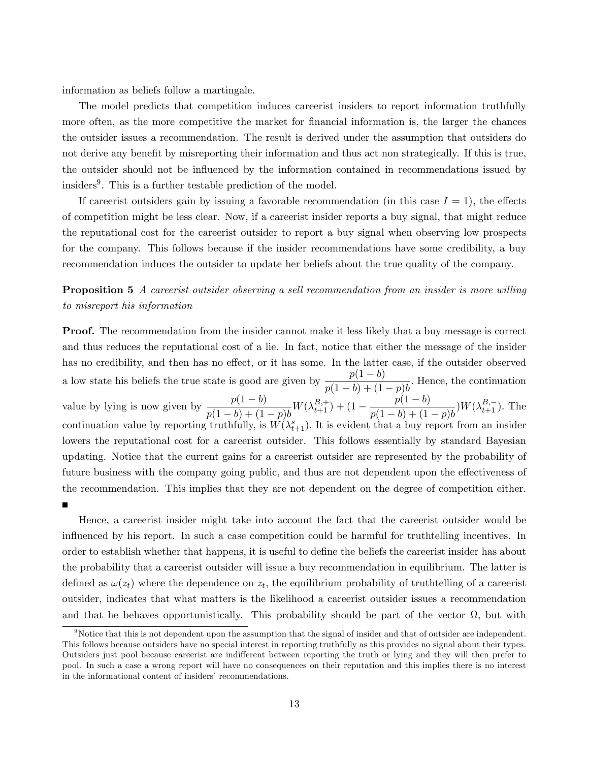information as beliefs follow a martingale.

The model predicts that competition induces careerist insiders to report information truthfully more often, as the more competitive the market for financial information is, the larger the chances the outsider issues a recommendation. The result is derived under the assumption that outsiders do not derive any benefit by misreporting their information and thus act non strategically. If this is true, the outsider should not be influenced by the information contained in recommendations issued by insiders<sup>9</sup>. This is a further testable prediction of the model.

If careerist outsiders gain by issuing a favorable recommendation (in this case  $I = 1$ ), the effects of competition might be less clear. Now, if a careerist insider reports a buy signal, that might reduce the reputational cost for the careerist outsider to report a buy signal when observing low prospects for the company. This follows because if the insider recommendations have some credibility, a buy recommendation induces the outsider to update her beliefs about the true quality of the company.

**Proposition 5** A careerist outsider observing a sell recommendation from an insider is more willing to misreport his information

**Proof.** The recommendation from the insider cannot make it less likely that a buy message is correct and thus reduces the reputational cost of a lie. In fact, notice that either the message of the insider has no credibility, and then has no effect, or it has some. In the latter case, if the outsider observed a low state his beliefs the true state is good are given by  $\frac{p(1 - b)}{(1 - b)(1 - b)}$  $\frac{p(1-b)+(1-p)b}{p(1-b)+(1-p)b}$ . Hence, the continuation value by lying is now given by  $\frac{p(1-b)}{(1-b)(1-b)}$  $\frac{p(1-b)}{p(1-b)+(1-p)b}W(\lambda_{t+1}^{B,+}) + (1-\frac{p(1-b)}{p(1-b)+(1-p)}$  $\frac{p(1-b)}{p(1-b)+(1-p)b}$   $W(\lambda_{t+1}^{B,-})$ . The continuation value by reporting truthfully, is  $\hat{W}(\lambda_{t+1}^s)$ . It is evident that a buy report from an insider lowers the reputational cost for a careerist outsider. This follows essentially by standard Bayesian updating. Notice that the current gains for a careerist outsider are represented by the probability of future business with the company going public, and thus are not dependent upon the effectiveness of the recommendation. This implies that they are not dependent on the degree of competition either.

Hence, a careerist insider might take into account the fact that the careerist outsider would be influenced by his report. In such a case competition could be harmful for truthtelling incentives. In order to establish whether that happens, it is useful to define the beliefs the careerist insider has about the probability that a careerist outsider will issue a buy recommendation in equilibrium. The latter is defined as  $\omega(z_t)$  where the dependence on  $z_t$ , the equilibrium probability of truthtelling of a careerist outsider, indicates that what matters is the likelihood a careerist outsider issues a recommendation and that he behaves opportunistically. This probability should be part of the vector  $\Omega$ , but with

 $9$ Notice that this is not dependent upon the assumption that the signal of insider and that of outsider are independent. This follows because outsiders have no special interest in reporting truthfully as this provides no signal about their types. Outsiders just pool because careerist are indifferent between reporting the truth or lying and they will then prefer to pool. In such a case a wrong report will have no consequences on their reputation and this implies there is no interest in the informational content of insiders' recommendations.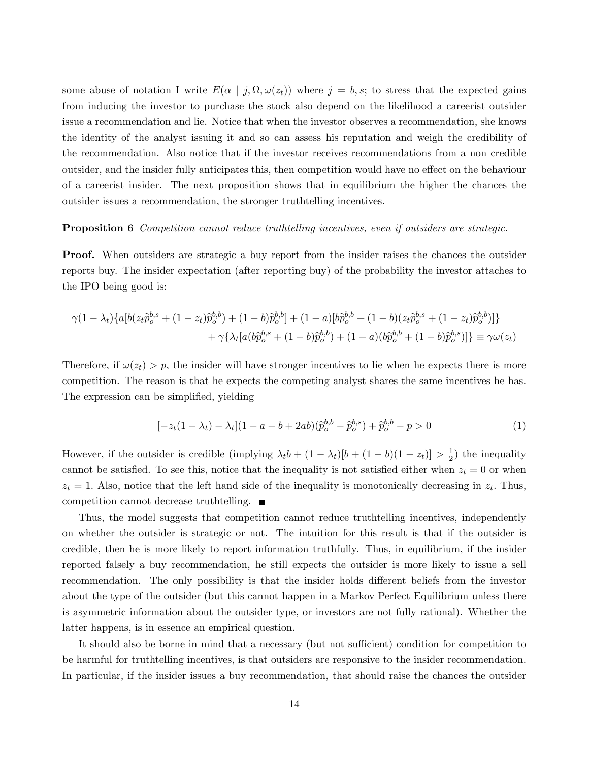some abuse of notation I write  $E(\alpha | j, \Omega, \omega(z_t))$  where  $j = b, s$ ; to stress that the expected gains from inducing the investor to purchase the stock also depend on the likelihood a careerist outsider issue a recommendation and lie. Notice that when the investor observes a recommendation, she knows the identity of the analyst issuing it and so can assess his reputation and weigh the credibility of the recommendation. Also notice that if the investor receives recommendations from a non credible outsider, and the insider fully anticipates this, then competition would have no effect on the behaviour of a careerist insider. The next proposition shows that in equilibrium the higher the chances the outsider issues a recommendation, the stronger truthtelling incentives.

#### **Proposition 6** Competition cannot reduce truthtelling incentives, even if outsiders are strategic.

**Proof.** When outsiders are strategic a buy report from the insider raises the chances the outsider reports buy. The insider expectation (after reporting buy) of the probability the investor attaches to the IPO being good is:

$$
\gamma (1 - \lambda_t) \{ a [b(z_t \tilde{p}_o^{b,s} + (1 - z_t) \tilde{p}_o^{b,b}) + (1 - b) \tilde{p}_o^{b,b}] + (1 - a) [b \tilde{p}_o^{b,b} + (1 - b)(z_t \tilde{p}_o^{b,s} + (1 - z_t) \tilde{p}_o^{b,b})] \}
$$

$$
+ \gamma \{ \lambda_t [a(b \tilde{p}_o^{b,s} + (1 - b) \tilde{p}_o^{b,b}) + (1 - a)(b \tilde{p}_o^{b,b} + (1 - b) \tilde{p}_o^{b,s})] \} \equiv \gamma \omega(z_t)
$$

Therefore, if  $\omega(z_t) > p$ , the insider will have stronger incentives to lie when he expects there is more competition. The reason is that he expects the competing analyst shares the same incentives he has. The expression can be simplified, yielding

$$
[-z_t(1 - \lambda_t) - \lambda_t](1 - a - b + 2ab)(\tilde{p}_o^{b,b} - \tilde{p}_o^{b,s}) + \tilde{p}_o^{b,b} - p > 0
$$
\n(1)

However, if the outsider is credible (implying  $\lambda_t b + (1 - \lambda_t)[b + (1 - b)(1 - z_t)] > \frac{1}{2}$  $(\frac{1}{2})$  the inequality cannot be satisfied. To see this, notice that the inequality is not satisfied either when  $z_t = 0$  or when  $z_t = 1$ . Also, notice that the left hand side of the inequality is monotonically decreasing in  $z_t$ . Thus, competition cannot decrease truthtelling.

Thus, the model suggests that competition cannot reduce truthtelling incentives, independently on whether the outsider is strategic or not. The intuition for this result is that if the outsider is credible, then he is more likely to report information truthfully. Thus, in equilibrium, if the insider reported falsely a buy recommendation, he still expects the outsider is more likely to issue a sell recommendation. The only possibility is that the insider holds different beliefs from the investor about the type of the outsider (but this cannot happen in a Markov Perfect Equilibrium unless there is asymmetric information about the outsider type, or investors are not fully rational). Whether the latter happens, is in essence an empirical question.

It should also be borne in mind that a necessary (but not sufficient) condition for competition to be harmful for truthtelling incentives, is that outsiders are responsive to the insider recommendation. In particular, if the insider issues a buy recommendation, that should raise the chances the outsider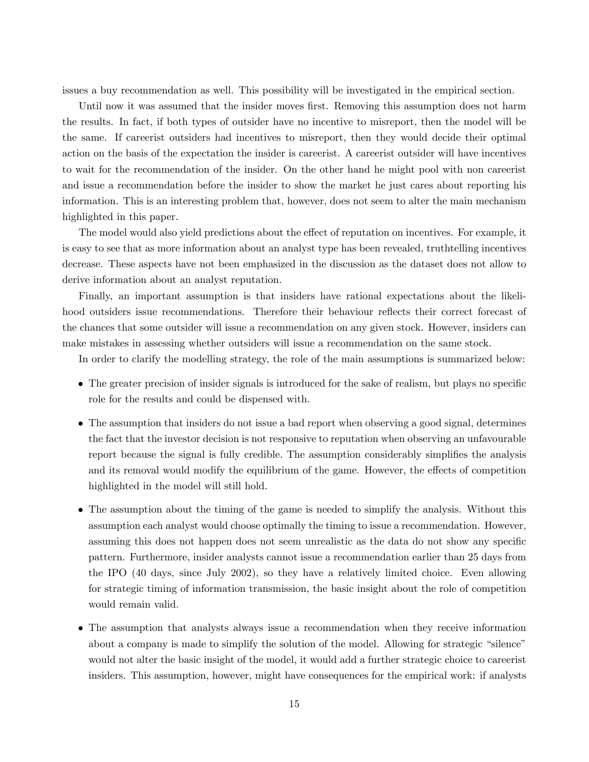issues a buy recommendation as well. This possibility will be investigated in the empirical section.

Until now it was assumed that the insider moves first. Removing this assumption does not harm the results. In fact, if both types of outsider have no incentive to misreport, then the model will be the same. If careerist outsiders had incentives to misreport, then they would decide their optimal action on the basis of the expectation the insider is careerist. A careerist outsider will have incentives to wait for the recommendation of the insider. On the other hand he might pool with non careerist and issue a recommendation before the insider to show the market he just cares about reporting his information. This is an interesting problem that, however, does not seem to alter the main mechanism highlighted in this paper.

The model would also yield predictions about the effect of reputation on incentives. For example, it is easy to see that as more information about an analyst type has been revealed, truthtelling incentives decrease. These aspects have not been emphasized in the discussion as the dataset does not allow to derive information about an analyst reputation.

Finally, an important assumption is that insiders have rational expectations about the likelihood outsiders issue recommendations. Therefore their behaviour reflects their correct forecast of the chances that some outsider will issue a recommendation on any given stock. However, insiders can make mistakes in assessing whether outsiders will issue a recommendation on the same stock.

In order to clarify the modelling strategy, the role of the main assumptions is summarized below:

- The greater precision of insider signals is introduced for the sake of realism, but plays no specific role for the results and could be dispensed with.
- The assumption that insiders do not issue a bad report when observing a good signal, determines the fact that the investor decision is not responsive to reputation when observing an unfavourable report because the signal is fully credible. The assumption considerably simplifies the analysis and its removal would modify the equilibrium of the game. However, the effects of competition highlighted in the model will still hold.
- The assumption about the timing of the game is needed to simplify the analysis. Without this assumption each analyst would choose optimally the timing to issue a recommendation. However, assuming this does not happen does not seem unrealistic as the data do not show any specific pattern. Furthermore, insider analysts cannot issue a recommendation earlier than 25 days from the IPO (40 days, since July 2002), so they have a relatively limited choice. Even allowing for strategic timing of information transmission, the basic insight about the role of competition would remain valid.
- The assumption that analysts always issue a recommendation when they receive information about a company is made to simplify the solution of the model. Allowing for strategic "silence" would not alter the basic insight of the model, it would add a further strategic choice to careerist insiders. This assumption, however, might have consequences for the empirical work: if analysts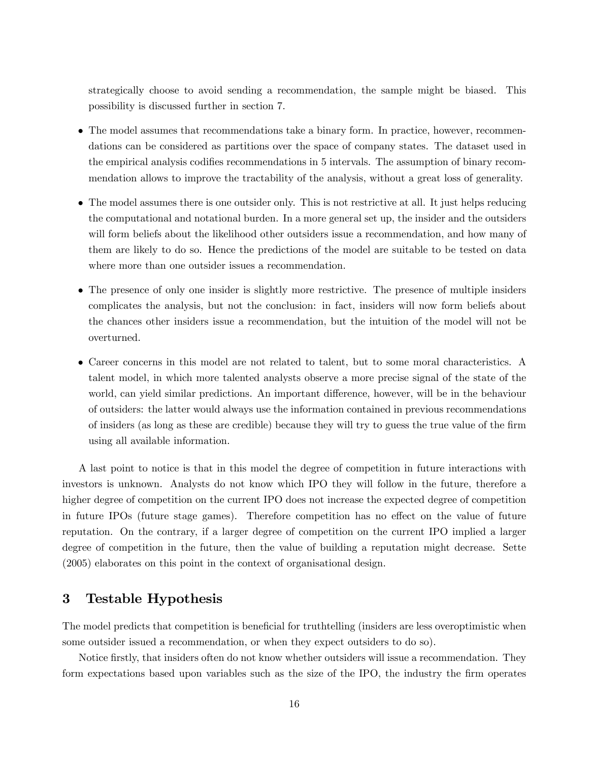strategically choose to avoid sending a recommendation, the sample might be biased. This possibility is discussed further in section 7.

- The model assumes that recommendations take a binary form. In practice, however, recommendations can be considered as partitions over the space of company states. The dataset used in the empirical analysis codifies recommendations in 5 intervals. The assumption of binary recommendation allows to improve the tractability of the analysis, without a great loss of generality.
- The model assumes there is one outsider only. This is not restrictive at all. It just helps reducing the computational and notational burden. In a more general set up, the insider and the outsiders will form beliefs about the likelihood other outsiders issue a recommendation, and how many of them are likely to do so. Hence the predictions of the model are suitable to be tested on data where more than one outsider issues a recommendation.
- The presence of only one insider is slightly more restrictive. The presence of multiple insiders complicates the analysis, but not the conclusion: in fact, insiders will now form beliefs about the chances other insiders issue a recommendation, but the intuition of the model will not be overturned.
- Career concerns in this model are not related to talent, but to some moral characteristics. A talent model, in which more talented analysts observe a more precise signal of the state of the world, can yield similar predictions. An important difference, however, will be in the behaviour of outsiders: the latter would always use the information contained in previous recommendations of insiders (as long as these are credible) because they will try to guess the true value of the Örm using all available information.

A last point to notice is that in this model the degree of competition in future interactions with investors is unknown. Analysts do not know which IPO they will follow in the future, therefore a higher degree of competition on the current IPO does not increase the expected degree of competition in future IPOs (future stage games). Therefore competition has no effect on the value of future reputation. On the contrary, if a larger degree of competition on the current IPO implied a larger degree of competition in the future, then the value of building a reputation might decrease. Sette (2005) elaborates on this point in the context of organisational design.

# 3 Testable Hypothesis

The model predicts that competition is beneficial for truthtelling (insiders are less overoptimistic when some outsider issued a recommendation, or when they expect outsiders to do so).

Notice firstly, that insiders often do not know whether outsiders will issue a recommendation. They form expectations based upon variables such as the size of the IPO, the industry the firm operates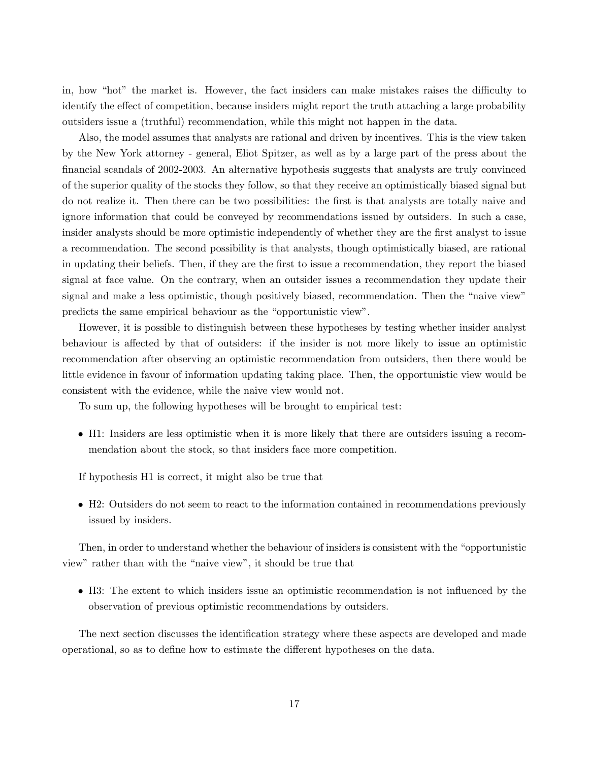in, how "hot" the market is. However, the fact insiders can make mistakes raises the difficulty to identify the effect of competition, because insiders might report the truth attaching a large probability outsiders issue a (truthful) recommendation, while this might not happen in the data.

Also, the model assumes that analysts are rational and driven by incentives. This is the view taken by the New York attorney - general, Eliot Spitzer, as well as by a large part of the press about the financial scandals of 2002-2003. An alternative hypothesis suggests that analysts are truly convinced of the superior quality of the stocks they follow, so that they receive an optimistically biased signal but do not realize it. Then there can be two possibilities: the first is that analysts are totally naive and ignore information that could be conveyed by recommendations issued by outsiders. In such a case, insider analysts should be more optimistic independently of whether they are the first analyst to issue a recommendation. The second possibility is that analysts, though optimistically biased, are rational in updating their beliefs. Then, if they are the first to issue a recommendation, they report the biased signal at face value. On the contrary, when an outsider issues a recommendation they update their signal and make a less optimistic, though positively biased, recommendation. Then the "naive view" predicts the same empirical behaviour as the "opportunistic view".

However, it is possible to distinguish between these hypotheses by testing whether insider analyst behaviour is affected by that of outsiders: if the insider is not more likely to issue an optimistic recommendation after observing an optimistic recommendation from outsiders, then there would be little evidence in favour of information updating taking place. Then, the opportunistic view would be consistent with the evidence, while the naive view would not.

To sum up, the following hypotheses will be brought to empirical test:

 H1: Insiders are less optimistic when it is more likely that there are outsiders issuing a recommendation about the stock, so that insiders face more competition.

If hypothesis H1 is correct, it might also be true that

 H2: Outsiders do not seem to react to the information contained in recommendations previously issued by insiders.

Then, in order to understand whether the behaviour of insiders is consistent with the "opportunistic view" rather than with the "naive view", it should be true that

 H3: The extent to which insiders issue an optimistic recommendation is not ináuenced by the observation of previous optimistic recommendations by outsiders.

The next section discusses the identification strategy where these aspects are developed and made operational, so as to define how to estimate the different hypotheses on the data.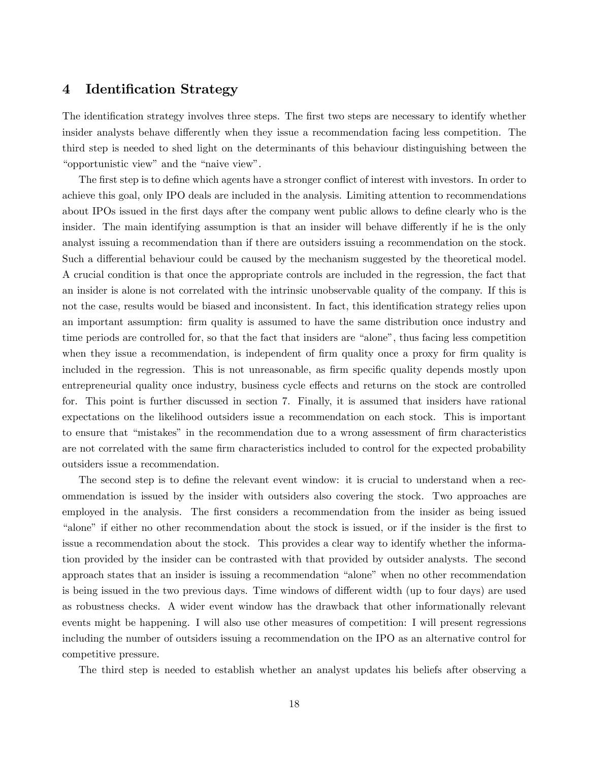# 4 Identification Strategy

The identification strategy involves three steps. The first two steps are necessary to identify whether insider analysts behave differently when they issue a recommendation facing less competition. The third step is needed to shed light on the determinants of this behaviour distinguishing between the "opportunistic view" and the "naive view".

The first step is to define which agents have a stronger conflict of interest with investors. In order to achieve this goal, only IPO deals are included in the analysis. Limiting attention to recommendations about IPOs issued in the first days after the company went public allows to define clearly who is the insider. The main identifying assumption is that an insider will behave differently if he is the only analyst issuing a recommendation than if there are outsiders issuing a recommendation on the stock. Such a differential behaviour could be caused by the mechanism suggested by the theoretical model. A crucial condition is that once the appropriate controls are included in the regression, the fact that an insider is alone is not correlated with the intrinsic unobservable quality of the company. If this is not the case, results would be biased and inconsistent. In fact, this identification strategy relies upon an important assumption: firm quality is assumed to have the same distribution once industry and time periods are controlled for, so that the fact that insiders are "alone", thus facing less competition when they issue a recommendation, is independent of firm quality once a proxy for firm quality is included in the regression. This is not unreasonable, as firm specific quality depends mostly upon entrepreneurial quality once industry, business cycle effects and returns on the stock are controlled for. This point is further discussed in section 7. Finally, it is assumed that insiders have rational expectations on the likelihood outsiders issue a recommendation on each stock. This is important to ensure that "mistakes" in the recommendation due to a wrong assessment of firm characteristics are not correlated with the same firm characteristics included to control for the expected probability outsiders issue a recommendation.

The second step is to define the relevant event window: it is crucial to understand when a recommendation is issued by the insider with outsiders also covering the stock. Two approaches are employed in the analysis. The first considers a recommendation from the insider as being issued ìaloneî if either no other recommendation about the stock is issued, or if the insider is the Örst to issue a recommendation about the stock. This provides a clear way to identify whether the information provided by the insider can be contrasted with that provided by outsider analysts. The second approach states that an insider is issuing a recommendation "alone" when no other recommendation is being issued in the two previous days. Time windows of different width (up to four days) are used as robustness checks. A wider event window has the drawback that other informationally relevant events might be happening. I will also use other measures of competition: I will present regressions including the number of outsiders issuing a recommendation on the IPO as an alternative control for competitive pressure.

The third step is needed to establish whether an analyst updates his beliefs after observing a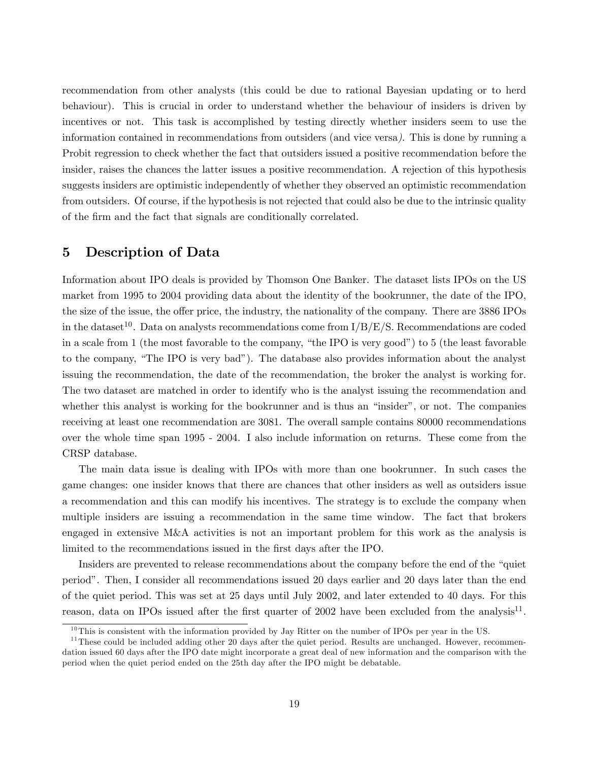recommendation from other analysts (this could be due to rational Bayesian updating or to herd behaviour). This is crucial in order to understand whether the behaviour of insiders is driven by incentives or not. This task is accomplished by testing directly whether insiders seem to use the information contained in recommendations from outsiders (and vice versa). This is done by running a Probit regression to check whether the fact that outsiders issued a positive recommendation before the insider, raises the chances the latter issues a positive recommendation. A rejection of this hypothesis suggests insiders are optimistic independently of whether they observed an optimistic recommendation from outsiders. Of course, if the hypothesis is not rejected that could also be due to the intrinsic quality of the Örm and the fact that signals are conditionally correlated.

### 5 Description of Data

Information about IPO deals is provided by Thomson One Banker. The dataset lists IPOs on the US market from 1995 to 2004 providing data about the identity of the bookrunner, the date of the IPO, the size of the issue, the offer price, the industry, the nationality of the company. There are 3886 IPOs in the dataset<sup>10</sup>. Data on analysts recommendations come from  $I/B/E/S$ . Recommendations are coded in a scale from 1 (the most favorable to the company, "the IPO is very good") to 5 (the least favorable to the company, "The IPO is very bad"). The database also provides information about the analyst issuing the recommendation, the date of the recommendation, the broker the analyst is working for. The two dataset are matched in order to identify who is the analyst issuing the recommendation and whether this analyst is working for the bookrunner and is thus an "insider", or not. The companies receiving at least one recommendation are 3081. The overall sample contains 80000 recommendations over the whole time span 1995 - 2004. I also include information on returns. These come from the CRSP database.

The main data issue is dealing with IPOs with more than one bookrunner. In such cases the game changes: one insider knows that there are chances that other insiders as well as outsiders issue a recommendation and this can modify his incentives. The strategy is to exclude the company when multiple insiders are issuing a recommendation in the same time window. The fact that brokers engaged in extensive M&A activities is not an important problem for this work as the analysis is limited to the recommendations issued in the first days after the IPO.

Insiders are prevented to release recommendations about the company before the end of the "quiet" periodî. Then, I consider all recommendations issued 20 days earlier and 20 days later than the end of the quiet period. This was set at 25 days until July 2002, and later extended to 40 days. For this reason, data on IPOs issued after the first quarter of 2002 have been excluded from the analysis<sup>11</sup>.

 $10$ This is consistent with the information provided by Jay Ritter on the number of IPOs per year in the US.

 $11$ These could be included adding other 20 days after the quiet period. Results are unchanged. However, recommendation issued 60 days after the IPO date might incorporate a great deal of new information and the comparison with the period when the quiet period ended on the 25th day after the IPO might be debatable.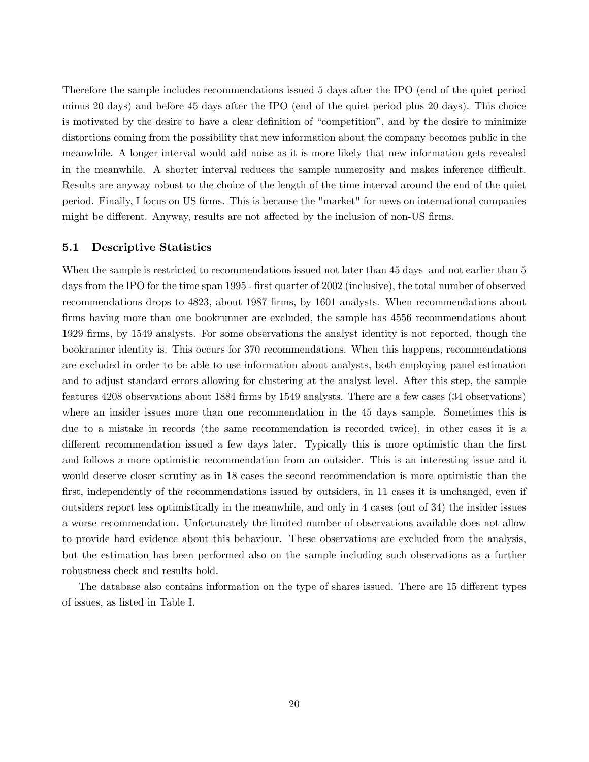Therefore the sample includes recommendations issued 5 days after the IPO (end of the quiet period minus 20 days) and before 45 days after the IPO (end of the quiet period plus 20 days). This choice is motivated by the desire to have a clear definition of "competition", and by the desire to minimize distortions coming from the possibility that new information about the company becomes public in the meanwhile. A longer interval would add noise as it is more likely that new information gets revealed in the meanwhile. A shorter interval reduces the sample numerosity and makes inference difficult. Results are anyway robust to the choice of the length of the time interval around the end of the quiet period. Finally, I focus on US firms. This is because the "market" for news on international companies might be different. Anyway, results are not affected by the inclusion of non-US firms.

#### 5.1 Descriptive Statistics

When the sample is restricted to recommendations issued not later than 45 days and not earlier than 5 days from the IPO for the time span 1995 - first quarter of 2002 (inclusive), the total number of observed recommendations drops to 4823, about 1987 firms, by 1601 analysts. When recommendations about firms having more than one bookrunner are excluded, the sample has  $4556$  recommendations about 1929 Örms, by 1549 analysts. For some observations the analyst identity is not reported, though the bookrunner identity is. This occurs for 370 recommendations. When this happens, recommendations are excluded in order to be able to use information about analysts, both employing panel estimation and to adjust standard errors allowing for clustering at the analyst level. After this step, the sample features 4208 observations about 1884 firms by 1549 analysts. There are a few cases (34 observations) where an insider issues more than one recommendation in the 45 days sample. Sometimes this is due to a mistake in records (the same recommendation is recorded twice), in other cases it is a different recommendation issued a few days later. Typically this is more optimistic than the first and follows a more optimistic recommendation from an outsider. This is an interesting issue and it would deserve closer scrutiny as in 18 cases the second recommendation is more optimistic than the first, independently of the recommendations issued by outsiders, in 11 cases it is unchanged, even if outsiders report less optimistically in the meanwhile, and only in 4 cases (out of 34) the insider issues a worse recommendation. Unfortunately the limited number of observations available does not allow to provide hard evidence about this behaviour. These observations are excluded from the analysis, but the estimation has been performed also on the sample including such observations as a further robustness check and results hold.

The database also contains information on the type of shares issued. There are 15 different types of issues, as listed in Table I.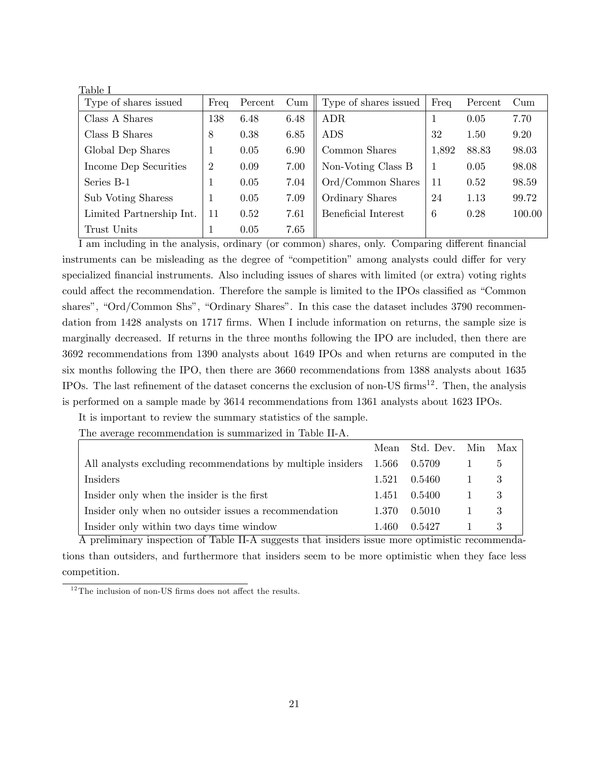| Table I                  |                |         |                 |                       |       |         |                 |
|--------------------------|----------------|---------|-----------------|-----------------------|-------|---------|-----------------|
| Type of shares issued    | Freq           | Percent | $_{\text{Cum}}$ | Type of shares issued | Freq  | Percent | $_{\text{Cum}}$ |
| Class A Shares           | 138            | 6.48    | 6.48            | <b>ADR</b>            |       | 0.05    | 7.70            |
| Class B Shares           | 8              | 0.38    | 6.85            | <b>ADS</b>            | 32    | 1.50    | 9.20            |
| Global Dep Shares        |                | 0.05    | 6.90            | Common Shares         | 1,892 | 88.83   | 98.03           |
| Income Dep Securities    | $\overline{2}$ | 0.09    | 7.00            | Non-Voting Class B    |       | 0.05    | 98.08           |
| Series B-1               | 1              | 0.05    | 7.04            | Ord/Common Shares     | 11    | 0.52    | 98.59           |
| Sub Voting Sharess       | 1              | 0.05    | 7.09            | Ordinary Shares       | 24    | 1.13    | 99.72           |
| Limited Partnership Int. | 11             | 0.52    | 7.61            | Beneficial Interest   | 6     | 0.28    | 100.00          |
| Trust Units              |                | 0.05    | 7.65            |                       |       |         |                 |

I am including in the analysis, ordinary (or common) shares, only. Comparing different financial instruments can be misleading as the degree of "competition" among analysts could differ for very specialized financial instruments. Also including issues of shares with limited (or extra) voting rights could affect the recommendation. Therefore the sample is limited to the IPOs classified as "Common shares", "Ord/Common Shs", "Ordinary Shares". In this case the dataset includes 3790 recommendation from 1428 analysts on 1717 firms. When I include information on returns, the sample size is marginally decreased. If returns in the three months following the IPO are included, then there are 3692 recommendations from 1390 analysts about 1649 IPOs and when returns are computed in the six months following the IPO, then there are 3660 recommendations from 1388 analysts about 1635 IPOs. The last refinement of the dataset concerns the exclusion of non-US firms<sup>12</sup>. Then, the analysis is performed on a sample made by 3614 recommendations from 1361 analysts about 1623 IPOs.

It is important to review the summary statistics of the sample.

The average recommendation is summarized in Table II-A.

|                                                             |              | Mean Std. Dev. Min Max |   |
|-------------------------------------------------------------|--------------|------------------------|---|
| All analysts excluding recommendations by multiple insiders | 1.566 0.5709 |                        |   |
| Insiders                                                    | 1.521        | 0.5460                 | 3 |
| Insider only when the insider is the first                  |              | 1.451 0.5400           |   |
| Insider only when no outsider issues a recommendation       | 1.370        | 0.5010                 | 3 |
| Insider only within two days time window                    | 1.460        | 0.5427                 |   |

A preliminary inspection of Table II-A suggests that insiders issue more optimistic recommendations than outsiders, and furthermore that insiders seem to be more optimistic when they face less competition.

 $12$ The inclusion of non-US firms does not affect the results.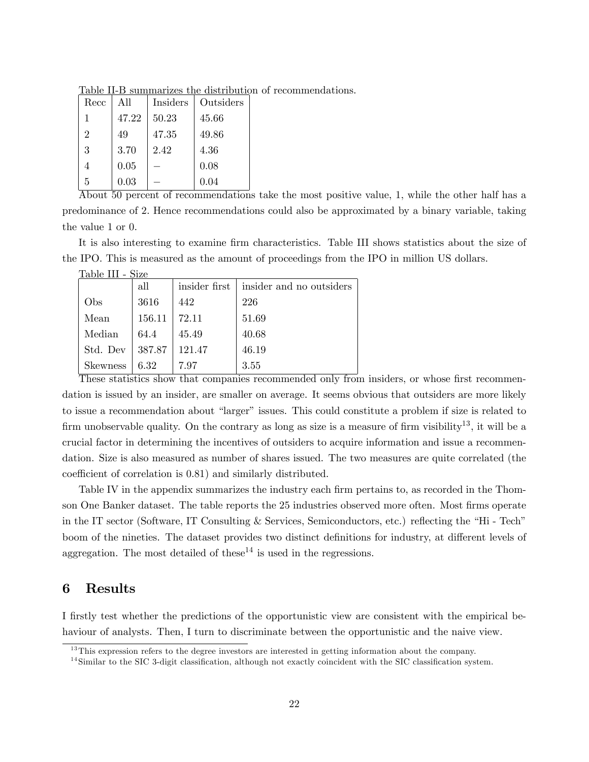| Recc           | All   | <b>Insiders</b> | Outsiders |
|----------------|-------|-----------------|-----------|
| 1              | 47.22 | 50.23           | 45.66     |
| $\overline{2}$ | 49    | 47.35           | 49.86     |
| 3              | 3.70  | 2.42            | 4.36      |
| 4              | 0.05  |                 | 0.08      |
| 5              | 0.03  |                 | 0.04      |

Table II-B summarizes the distribution of recommendations.

About 50 percent of recommendations take the most positive value, 1; while the other half has a predominance of 2: Hence recommendations could also be approximated by a binary variable, taking the value 1 or 0:

It is also interesting to examine firm characteristics. Table III shows statistics about the size of the IPO. This is measured as the amount of proceedings from the IPO in million US dollars.

| raple . | Ш | 11.ZP |
|---------|---|-------|
|         |   |       |

|                 | all    | insider first | insider and no outsiders |
|-----------------|--------|---------------|--------------------------|
| Obs             | 3616   | 442           | 226                      |
| Mean            | 156.11 | 72.11         | 51.69                    |
| Median          | 64.4   | 45.49         | 40.68                    |
| Std. Dev        | 387.87 | 121.47        | 46.19                    |
| <b>Skewness</b> | 6.32   | 797           | 3.55                     |

These statistics show that companies recommended only from insiders, or whose first recommendation is issued by an insider, are smaller on average. It seems obvious that outsiders are more likely to issue a recommendation about "larger" issues. This could constitute a problem if size is related to firm unobservable quality. On the contrary as long as size is a measure of firm visibility<sup>13</sup>, it will be a crucial factor in determining the incentives of outsiders to acquire information and issue a recommendation. Size is also measured as number of shares issued. The two measures are quite correlated (the coefficient of correlation is 0.81) and similarly distributed.

Table IV in the appendix summarizes the industry each firm pertains to, as recorded in the Thomson One Banker dataset. The table reports the 25 industries observed more often. Most firms operate in the IT sector (Software, IT Consulting & Services, Semiconductors, etc.) reflecting the "Hi - Tech" boom of the nineties. The dataset provides two distinct definitions for industry, at different levels of aggregation. The most detailed of these<sup>14</sup> is used in the regressions.

### 6 Results

I firstly test whether the predictions of the opportunistic view are consistent with the empirical behaviour of analysts. Then, I turn to discriminate between the opportunistic and the naive view.

 $13$ This expression refers to the degree investors are interested in getting information about the company.

 $14$ Similar to the SIC 3-digit classification, although not exactly coincident with the SIC classification system.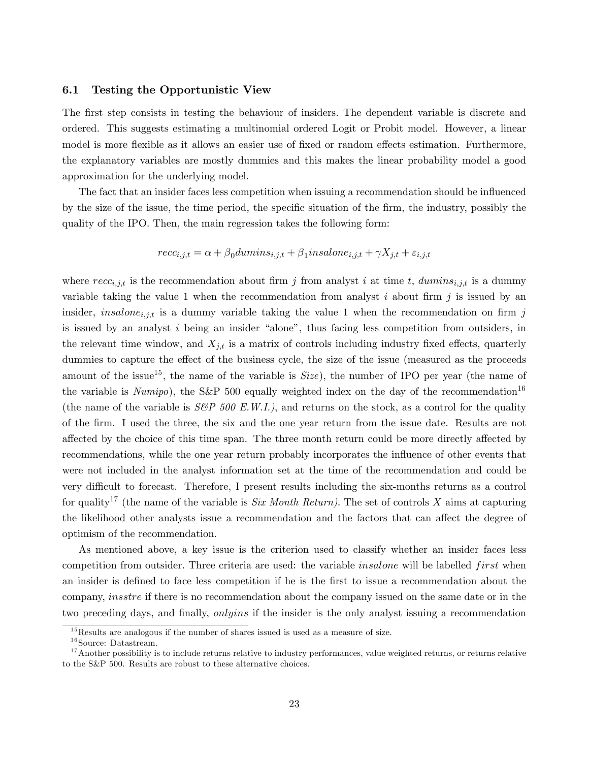#### 6.1 Testing the Opportunistic View

The first step consists in testing the behaviour of insiders. The dependent variable is discrete and ordered. This suggests estimating a multinomial ordered Logit or Probit model. However, a linear model is more flexible as it allows an easier use of fixed or random effects estimation. Furthermore, the explanatory variables are mostly dummies and this makes the linear probability model a good approximation for the underlying model.

The fact that an insider faces less competition when issuing a recommendation should be ináuenced by the size of the issue, the time period, the specific situation of the firm, the industry, possibly the quality of the IPO. Then, the main regression takes the following form:

$$
recc_{i,j,t} = \alpha + \beta_0 \cdot \text{dumins}_{i,j,t} + \beta_1 \cdot \text{in} \cdot \text{solone}_{i,j,t} + \gamma X_{j,t} + \varepsilon_{i,j,t}
$$

where  $recc_{i,j,t}$  is the recommendation about firm j from analyst i at time t,  $dumin_{i,j,t}$  is a dummy variable taking the value 1 when the recommendation from analyst  $i$  about firm  $j$  is issued by an insider, *insalone*<sub>i,jt</sub> is a dummy variable taking the value 1 when the recommendation on firm j is issued by an analyst  $i$  being an insider "alone", thus facing less competition from outsiders, in the relevant time window, and  $X_{j,t}$  is a matrix of controls including industry fixed effects, quarterly dummies to capture the effect of the business cycle, the size of the issue (measured as the proceeds amount of the issue<sup>15</sup>, the name of the variable is  $Size$ ), the number of IPO per year (the name of the variable is  $Numipo$ ), the S&P 500 equally weighted index on the day of the recommendation<sup>16</sup> (the name of the variable is  $S\&P$  500 E.W.I.), and returns on the stock, as a control for the quality of the Örm. I used the three, the six and the one year return from the issue date. Results are not affected by the choice of this time span. The three month return could be more directly affected by recommendations, while the one year return probably incorporates the influence of other events that were not included in the analyst information set at the time of the recommendation and could be very difficult to forecast. Therefore, I present results including the six-months returns as a control for quality<sup>17</sup> (the name of the variable is *Six Month Return*). The set of controls X aims at capturing the likelihood other analysts issue a recommendation and the factors that can affect the degree of optimism of the recommendation.

As mentioned above, a key issue is the criterion used to classify whether an insider faces less competition from outsider. Three criteria are used: the variable *insalone* will be labelled  $first$  when an insider is defined to face less competition if he is the first to issue a recommendation about the company, *insstre* if there is no recommendation about the company issued on the same date or in the two preceding days, and finally, *onlyins* if the insider is the only analyst issuing a recommendation

 $15$ Results are analogous if the number of shares issued is used as a measure of size.

 $16$  Source: Datastream.

 $17$ Another possibility is to include returns relative to industry performances, value weighted returns, or returns relative to the S&P 500. Results are robust to these alternative choices.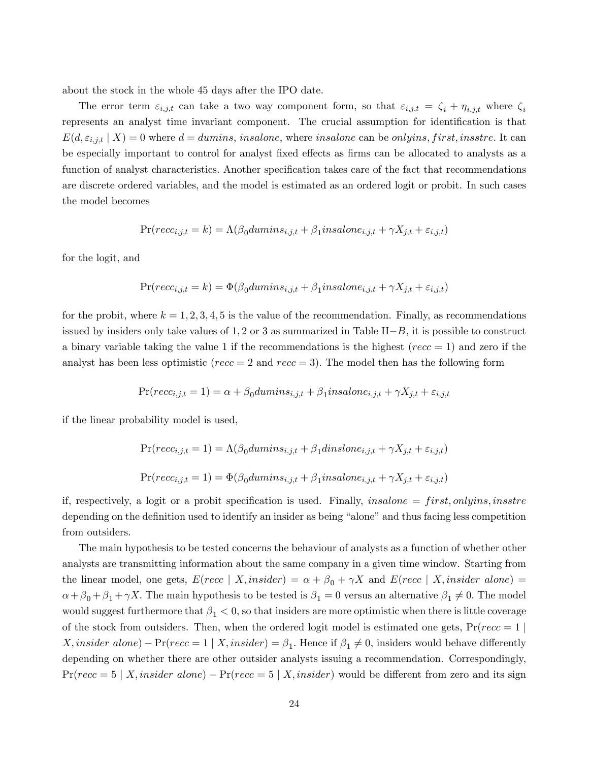about the stock in the whole 45 days after the IPO date.

The error term  $\varepsilon_{i,j,t}$  can take a two way component form, so that  $\varepsilon_{i,j,t} = \zeta_i + \eta_{i,j,t}$  where  $\zeta_i$ represents an analyst time invariant component. The crucial assumption for identification is that  $E(d, \varepsilon_{i,j,t} | X) = 0$  where  $d = \text{dumins}, \text{insalone},$  where insalone can be onlyins, first, instre. It can be especially important to control for analyst fixed effects as firms can be allocated to analysts as a function of analyst characteristics. Another specification takes care of the fact that recommendations are discrete ordered variables, and the model is estimated as an ordered logit or probit. In such cases the model becomes

$$
\Pr(recc_{i,j,t}=k)=\Lambda(\beta_0dumins_{i,j,t}+\beta_1insalone_{i,j,t}+\gamma X_{j,t}+\varepsilon_{i,j,t})
$$

for the logit, and

$$
\Pr(recc_{i,j,t}=k)=\Phi(\beta_0dumins_{i,j,t}+\beta_1insalone_{i,j,t}+\gamma X_{j,t}+\varepsilon_{i,j,t})
$$

for the probit, where  $k = 1, 2, 3, 4, 5$  is the value of the recommendation. Finally, as recommendations issued by insiders only take values of  $1, 2$  or 3 as summarized in Table  $II-B$ , it is possible to construct a binary variable taking the value 1 if the recommendations is the highest ( $recc = 1$ ) and zero if the analyst has been less optimistic ( $recc = 2$  and  $recc = 3$ ). The model then has the following form

$$
\Pr(recc_{i,j,t}=1) = \alpha + \beta_0 dumins_{i,j,t} + \beta_1 insalone_{i,j,t} + \gamma X_{j,t} + \varepsilon_{i,j,t}
$$

if the linear probability model is used,

$$
Pr(recc_{i,j,t} = 1) = \Lambda(\beta_0 \text{dumins}_{i,j,t} + \beta_1 \text{dinslone}_{i,j,t} + \gamma X_{j,t} + \varepsilon_{i,j,t})
$$
  

$$
Pr(recc_{i,j,t} = 1) = \Phi(\beta_0 \text{dumins}_{i,j,t} + \beta_1 \text{insalone}_{i,j,t} + \gamma X_{j,t} + \varepsilon_{i,j,t})
$$

if, respectively, a logit or a probit specification is used. Finally, insalone  $=$  first, onlyins, insstre depending on the definition used to identify an insider as being "alone" and thus facing less competition from outsiders.

The main hypothesis to be tested concerns the behaviour of analysts as a function of whether other analysts are transmitting information about the same company in a given time window. Starting from the linear model, one gets,  $E(recc | X, insider) = \alpha + \beta_0 + \gamma X$  and  $E(recc | X, insider alone) =$  $\alpha + \beta_0 + \beta_1 + \gamma X$ . The main hypothesis to be tested is  $\beta_1 = 0$  versus an alternative  $\beta_1 \neq 0$ . The model would suggest furthermore that  $\beta_1 < 0$ , so that insiders are more optimistic when there is little coverage of the stock from outsiders. Then, when the ordered logit model is estimated one gets,  $Pr(recc = 1 |$ X, insider alone) –  $Pr(recc = 1 | X, insider) = \beta_1$ . Hence if  $\beta_1 \neq 0$ , insiders would behave differently depending on whether there are other outsider analysts issuing a recommendation. Correspondingly,  $Pr(recc = 5 | X, insider alone) - Pr(recc = 5 | X, insider)$  would be different from zero and its sign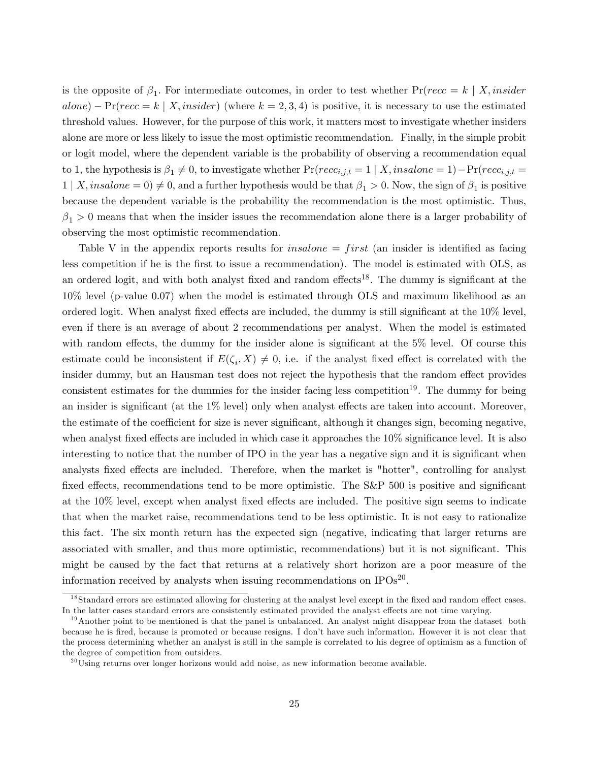is the opposite of  $\beta_1$ . For intermediate outcomes, in order to test whether  $Pr(recc = k | X, insider)$  $alone$ )  $-Pr(recc = k | X, inside)$  (where  $k = 2,3,4$ ) is positive, it is necessary to use the estimated threshold values. However, for the purpose of this work, it matters most to investigate whether insiders alone are more or less likely to issue the most optimistic recommendation. Finally, in the simple probit or logit model, where the dependent variable is the probability of observing a recommendation equal to 1, the hypothesis is  $\beta_1 \neq 0$ , to investigate whether  $Pr(recc_{i,j,t} = 1 \mid X, insalone = 1) - Pr(recc_{i,j,t} = 1)$  $1 | X, in \text{salone} = 0 \neq 0$ , and a further hypothesis would be that  $\beta_1 > 0$ . Now, the sign of  $\beta_1$  is positive because the dependent variable is the probability the recommendation is the most optimistic. Thus,  $\beta_1 > 0$  means that when the insider issues the recommendation alone there is a larger probability of observing the most optimistic recommendation.

Table V in the appendix reports results for *insalone = first* (an insider is identified as facing less competition if he is the first to issue a recommendation). The model is estimated with OLS, as an ordered logit, and with both analyst fixed and random effects<sup>18</sup>. The dummy is significant at the 10% level (p-value 0.07) when the model is estimated through OLS and maximum likelihood as an ordered logit. When analyst fixed effects are included, the dummy is still significant at the  $10\%$  level, even if there is an average of about 2 recommendations per analyst. When the model is estimated with random effects, the dummy for the insider alone is significant at the  $5\%$  level. Of course this estimate could be inconsistent if  $E(\zeta_i, X) \neq 0$ , i.e. if the analyst fixed effect is correlated with the insider dummy, but an Hausman test does not reject the hypothesis that the random effect provides consistent estimates for the dummies for the insider facing less competition<sup>19</sup>. The dummy for being an insider is significant (at the  $1\%$  level) only when analyst effects are taken into account. Moreover, the estimate of the coefficient for size is never significant, although it changes sign, becoming negative, when analyst fixed effects are included in which case it approaches the  $10\%$  significance level. It is also interesting to notice that the number of IPO in the year has a negative sign and it is significant when analysts fixed effects are included. Therefore, when the market is "hotter", controlling for analyst fixed effects, recommendations tend to be more optimistic. The  $S\&P$  500 is positive and significant at the 10% level, except when analyst fixed effects are included. The positive sign seems to indicate that when the market raise, recommendations tend to be less optimistic. It is not easy to rationalize this fact. The six month return has the expected sign (negative, indicating that larger returns are associated with smaller, and thus more optimistic, recommendations) but it is not significant. This might be caused by the fact that returns at a relatively short horizon are a poor measure of the information received by analysts when issuing recommendations on  $IPOs<sup>20</sup>$ .

 $18$ Standard errors are estimated allowing for clustering at the analyst level except in the fixed and random effect cases. In the latter cases standard errors are consistently estimated provided the analyst effects are not time varying.

 $19$ Another point to be mentioned is that the panel is unbalanced. An analyst might disappear from the dataset both because he is Öred, because is promoted or because resigns. I donít have such information. However it is not clear that the process determining whether an analyst is still in the sample is correlated to his degree of optimism as a function of the degree of competition from outsiders.

 $^{20}$ Using returns over longer horizons would add noise, as new information become available.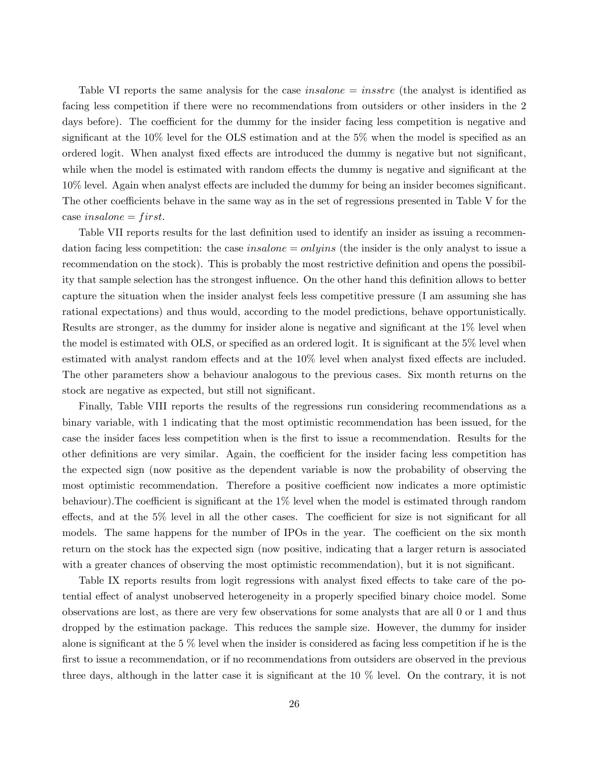Table VI reports the same analysis for the case *insalone*  $=$  *insstre* (the analyst is identified as facing less competition if there were no recommendations from outsiders or other insiders in the 2 days before). The coefficient for the dummy for the insider facing less competition is negative and significant at the  $10\%$  level for the OLS estimation and at the  $5\%$  when the model is specified as an ordered logit. When analyst fixed effects are introduced the dummy is negative but not significant, while when the model is estimated with random effects the dummy is negative and significant at the  $10\%$  level. Again when analyst effects are included the dummy for being an insider becomes significant. The other coefficients behave in the same way as in the set of regressions presented in Table V for the case insalone  $=$  first.

Table VII reports results for the last definition used to identify an insider as issuing a recommendation facing less competition: the case insalone  $=$  onlyins (the insider is the only analyst to issue a recommendation on the stock). This is probably the most restrictive definition and opens the possibility that sample selection has the strongest influence. On the other hand this definition allows to better capture the situation when the insider analyst feels less competitive pressure (I am assuming she has rational expectations) and thus would, according to the model predictions, behave opportunistically. Results are stronger, as the dummy for insider alone is negative and significant at the 1% level when the model is estimated with OLS, or specified as an ordered logit. It is significant at the 5% level when estimated with analyst random effects and at the 10% level when analyst fixed effects are included. The other parameters show a behaviour analogous to the previous cases. Six month returns on the stock are negative as expected, but still not significant.

Finally, Table VIII reports the results of the regressions run considering recommendations as a binary variable, with 1 indicating that the most optimistic recommendation has been issued; for the case the insider faces less competition when is the Örst to issue a recommendation. Results for the other definitions are very similar. Again, the coefficient for the insider facing less competition has the expected sign (now positive as the dependent variable is now the probability of observing the most optimistic recommendation. Therefore a positive coefficient now indicates a more optimistic behaviour). The coefficient is significant at the  $1\%$  level when the model is estimated through random effects, and at the  $5\%$  level in all the other cases. The coefficient for size is not significant for all models. The same happens for the number of IPOs in the year. The coefficient on the six month return on the stock has the expected sign (now positive, indicating that a larger return is associated with a greater chances of observing the most optimistic recommendation), but it is not significant.

Table IX reports results from logit regressions with analyst fixed effects to take care of the potential effect of analyst unobserved heterogeneity in a properly specified binary choice model. Some observations are lost, as there are very few observations for some analysts that are all 0 or 1 and thus dropped by the estimation package. This reduces the sample size. However, the dummy for insider alone is significant at the  $5\%$  level when the insider is considered as facing less competition if he is the first to issue a recommendation, or if no recommendations from outsiders are observed in the previous three days, although in the latter case it is significant at the  $10\%$  level. On the contrary, it is not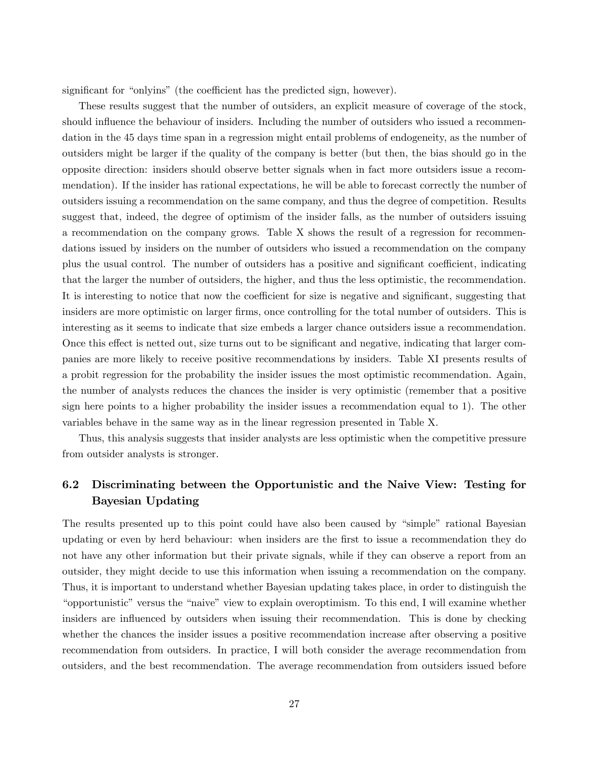significant for "onlyins" (the coefficient has the predicted sign, however).

These results suggest that the number of outsiders, an explicit measure of coverage of the stock, should influence the behaviour of insiders. Including the number of outsiders who issued a recommendation in the 45 days time span in a regression might entail problems of endogeneity, as the number of outsiders might be larger if the quality of the company is better (but then, the bias should go in the opposite direction: insiders should observe better signals when in fact more outsiders issue a recommendation). If the insider has rational expectations, he will be able to forecast correctly the number of outsiders issuing a recommendation on the same company, and thus the degree of competition. Results suggest that, indeed, the degree of optimism of the insider falls, as the number of outsiders issuing a recommendation on the company grows. Table X shows the result of a regression for recommendations issued by insiders on the number of outsiders who issued a recommendation on the company plus the usual control. The number of outsiders has a positive and significant coefficient, indicating that the larger the number of outsiders, the higher, and thus the less optimistic, the recommendation. It is interesting to notice that now the coefficient for size is negative and significant, suggesting that insiders are more optimistic on larger firms, once controlling for the total number of outsiders. This is interesting as it seems to indicate that size embeds a larger chance outsiders issue a recommendation. Once this effect is netted out, size turns out to be significant and negative, indicating that larger companies are more likely to receive positive recommendations by insiders. Table XI presents results of a probit regression for the probability the insider issues the most optimistic recommendation. Again, the number of analysts reduces the chances the insider is very optimistic (remember that a positive sign here points to a higher probability the insider issues a recommendation equal to 1). The other variables behave in the same way as in the linear regression presented in Table X.

Thus, this analysis suggests that insider analysts are less optimistic when the competitive pressure from outsider analysts is stronger.

# 6.2 Discriminating between the Opportunistic and the Naive View: Testing for Bayesian Updating

The results presented up to this point could have also been caused by "simple" rational Bayesian updating or even by herd behaviour: when insiders are the Örst to issue a recommendation they do not have any other information but their private signals, while if they can observe a report from an outsider, they might decide to use this information when issuing a recommendation on the company. Thus, it is important to understand whether Bayesian updating takes place, in order to distinguish the "opportunistic" versus the "naive" view to explain overoptimism. To this end, I will examine whether insiders are influenced by outsiders when issuing their recommendation. This is done by checking whether the chances the insider issues a positive recommendation increase after observing a positive recommendation from outsiders. In practice, I will both consider the average recommendation from outsiders, and the best recommendation. The average recommendation from outsiders issued before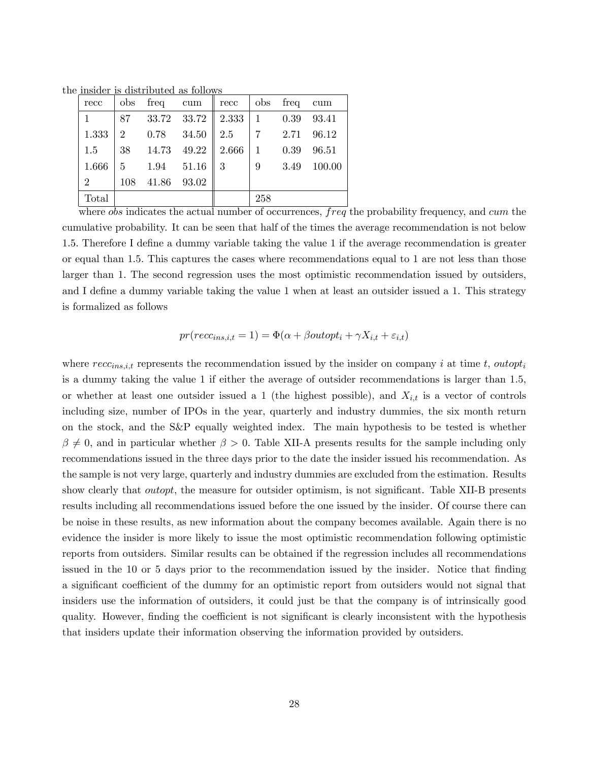the insider is distributed as follows

| recc           | obs            | freq           | cum   | recc                    |              | obs freq | cum    |
|----------------|----------------|----------------|-------|-------------------------|--------------|----------|--------|
|                | 87             |                |       | 33.72 33.72   2.333   1 |              | 0.39     | 93.41  |
| 1.333          | $\overline{2}$ | $0.78$ $34.50$ |       | 2.5                     |              | 2.71     | 96.12  |
| 1.5            | 38             | 14.73          | 49.22 | 2.666                   | $\mathbf{1}$ | 0.39     | 96.51  |
| 1.666          | 5              | 1.94           | 51.16 | 3                       | 9            | 3.49     | 100.00 |
| $\overline{2}$ | 108            | 41.86          | 93.02 |                         |              |          |        |
| Total          |                |                |       |                         | 258          |          |        |

where *obs* indicates the actual number of occurrences,  $freq$  the probability frequency, and cum the cumulative probability. It can be seen that half of the times the average recommendation is not below 1.5. Therefore I define a dummy variable taking the value 1 if the average recommendation is greater or equal than 1:5: This captures the cases where recommendations equal to 1 are not less than those larger than 1. The second regression uses the most optimistic recommendation issued by outsiders, and I define a dummy variable taking the value 1 when at least an outsider issued a 1. This strategy is formalized as follows

$$
pr(recc_{ins,i,t} = 1) = \Phi(\alpha + \beta outopt_i + \gamma X_{i,t} + \varepsilon_{i,t})
$$

where  $recc<sub>ins,i,t</sub>$  represents the recommendation issued by the insider on company i at time t, outopt<sub>i</sub> is a dummy taking the value 1 if either the average of outsider recommendations is larger than 1.5, or whether at least one outsider issued a 1 (the highest possible), and  $X_{i,t}$  is a vector of controls including size, number of IPOs in the year, quarterly and industry dummies, the six month return on the stock, and the S&P equally weighted index. The main hypothesis to be tested is whether  $\beta \neq 0$ , and in particular whether  $\beta > 0$ . Table XII-A presents results for the sample including only recommendations issued in the three days prior to the date the insider issued his recommendation. As the sample is not very large, quarterly and industry dummies are excluded from the estimation. Results show clearly that *outopt*, the measure for outsider optimism, is not significant. Table XII-B presents results including all recommendations issued before the one issued by the insider. Of course there can be noise in these results, as new information about the company becomes available. Again there is no evidence the insider is more likely to issue the most optimistic recommendation following optimistic reports from outsiders. Similar results can be obtained if the regression includes all recommendations issued in the 10 or 5 days prior to the recommendation issued by the insider. Notice that finding a significant coefficient of the dummy for an optimistic report from outsiders would not signal that insiders use the information of outsiders, it could just be that the company is of intrinsically good quality. However, finding the coefficient is not significant is clearly inconsistent with the hypothesis that insiders update their information observing the information provided by outsiders.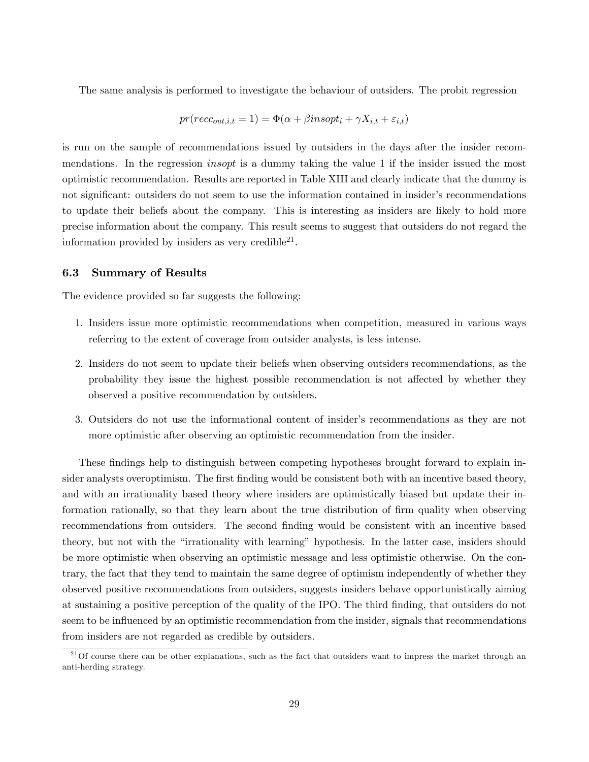The same analysis is performed to investigate the behaviour of outsiders. The probit regression

$$
pr(recc_{out,i,t} = 1) = \Phi(\alpha + \beta insopt_i + \gamma X_{i,t} + \varepsilon_{i,t})
$$

is run on the sample of recommendations issued by outsiders in the days after the insider recommendations. In the regression *insopt* is a dummy taking the value 1 if the insider issued the most optimistic recommendation. Results are reported in Table XIII and clearly indicate that the dummy is not significant: outsiders do not seem to use the information contained in insider's recommendations to update their beliefs about the company. This is interesting as insiders are likely to hold more precise information about the company. This result seems to suggest that outsiders do not regard the information provided by insiders as very credible $^{21}$ .

#### 6.3 Summary of Results

The evidence provided so far suggests the following:

- 1. Insiders issue more optimistic recommendations when competition, measured in various ways referring to the extent of coverage from outsider analysts, is less intense.
- 2. Insiders do not seem to update their beliefs when observing outsiders recommendations, as the probability they issue the highest possible recommendation is not affected by whether they observed a positive recommendation by outsiders.
- 3. Outsiders do not use the informational content of insider's recommendations as they are not more optimistic after observing an optimistic recommendation from the insider.

These findings help to distinguish between competing hypotheses brought forward to explain insider analysts overoptimism. The first finding would be consistent both with an incentive based theory, and with an irrationality based theory where insiders are optimistically biased but update their information rationally, so that they learn about the true distribution of firm quality when observing recommendations from outsiders. The second finding would be consistent with an incentive based theory, but not with the "irrationality with learning" hypothesis. In the latter case, insiders should be more optimistic when observing an optimistic message and less optimistic otherwise. On the contrary, the fact that they tend to maintain the same degree of optimism independently of whether they observed positive recommendations from outsiders, suggests insiders behave opportunistically aiming at sustaining a positive perception of the quality of the IPO. The third finding, that outsiders do not seem to be influenced by an optimistic recommendation from the insider, signals that recommendations from insiders are not regarded as credible by outsiders.

<sup>&</sup>lt;sup>21</sup>Of course there can be other explanations, such as the fact that outsiders want to impress the market through an anti-herding strategy.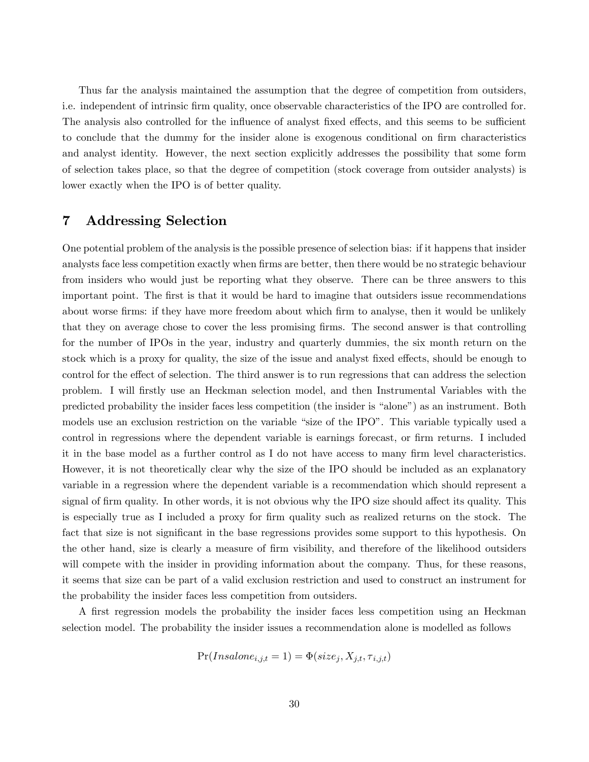Thus far the analysis maintained the assumption that the degree of competition from outsiders, i.e. independent of intrinsic Örm quality, once observable characteristics of the IPO are controlled for. The analysis also controlled for the influence of analyst fixed effects, and this seems to be sufficient to conclude that the dummy for the insider alone is exogenous conditional on firm characteristics and analyst identity. However, the next section explicitly addresses the possibility that some form of selection takes place, so that the degree of competition (stock coverage from outsider analysts) is lower exactly when the IPO is of better quality.

### 7 Addressing Selection

One potential problem of the analysis is the possible presence of selection bias: if it happens that insider analysts face less competition exactly when firms are better, then there would be no strategic behaviour from insiders who would just be reporting what they observe. There can be three answers to this important point. The first is that it would be hard to imagine that outsiders issue recommendations about worse firms: if they have more freedom about which firm to analyse, then it would be unlikely that they on average chose to cover the less promising Örms. The second answer is that controlling for the number of IPOs in the year, industry and quarterly dummies, the six month return on the stock which is a proxy for quality, the size of the issue and analyst fixed effects, should be enough to control for the effect of selection. The third answer is to run regressions that can address the selection problem. I will Örstly use an Heckman selection model, and then Instrumental Variables with the predicted probability the insider faces less competition (the insider is "alone") as an instrument. Both models use an exclusion restriction on the variable "size of the IPO". This variable typically used a control in regressions where the dependent variable is earnings forecast, or firm returns. I included it in the base model as a further control as I do not have access to many firm level characteristics. However, it is not theoretically clear why the size of the IPO should be included as an explanatory variable in a regression where the dependent variable is a recommendation which should represent a signal of firm quality. In other words, it is not obvious why the IPO size should affect its quality. This is especially true as I included a proxy for firm quality such as realized returns on the stock. The fact that size is not significant in the base regressions provides some support to this hypothesis. On the other hand, size is clearly a measure of firm visibility, and therefore of the likelihood outsiders will compete with the insider in providing information about the company. Thus, for these reasons, it seems that size can be part of a valid exclusion restriction and used to construct an instrument for the probability the insider faces less competition from outsiders.

A first regression models the probability the insider faces less competition using an Heckman selection model. The probability the insider issues a recommendation alone is modelled as follows

$$
Pr(Insalone_{i,j,t} = 1) = \Phi(size_j, X_{j,t}, \tau_{i,j,t})
$$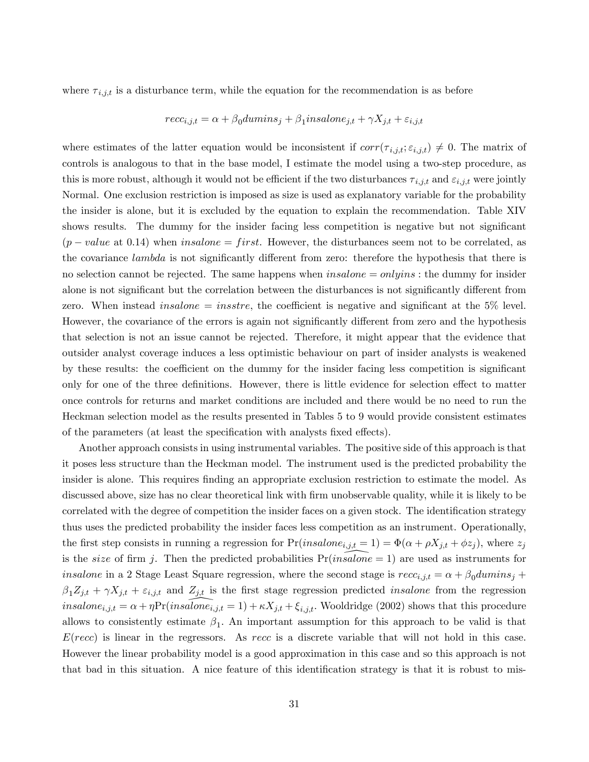where  $\tau_{i,j,t}$  is a disturbance term, while the equation for the recommendation is as before

$$
recc_{i,j,t} = \alpha + \beta_0 dumins_j + \beta_1 insalone_{j,t} + \gamma X_{j,t} + \varepsilon_{i,j,t}
$$

where estimates of the latter equation would be inconsistent if  $corr(\tau_{i,j,t}; \varepsilon_{i,j,t}) \neq 0$ . The matrix of controls is analogous to that in the base model, I estimate the model using a two-step procedure, as this is more robust, although it would not be efficient if the two disturbances  $\tau_{i,j,t}$  and  $\varepsilon_{i,j,t}$  were jointly Normal. One exclusion restriction is imposed as size is used as explanatory variable for the probability the insider is alone, but it is excluded by the equation to explain the recommendation. Table XIV shows results. The dummy for the insider facing less competition is negative but not significant  $(p-value at 0.14)$  when insalone = first. However, the disturbances seem not to be correlated, as the covariance *lambda* is not significantly different from zero: therefore the hypothesis that there is no selection cannot be rejected. The same happens when  $insalone = onlyins$ : the dummy for insider alone is not significant but the correlation between the disturbances is not significantly different from zero. When instead *insalone* = *insstre*, the coefficient is negative and significant at the  $5\%$  level. However, the covariance of the errors is again not significantly different from zero and the hypothesis that selection is not an issue cannot be rejected. Therefore, it might appear that the evidence that outsider analyst coverage induces a less optimistic behaviour on part of insider analysts is weakened by these results: the coefficient on the dummy for the insider facing less competition is significant only for one of the three definitions. However, there is little evidence for selection effect to matter once controls for returns and market conditions are included and there would be no need to run the Heckman selection model as the results presented in Tables 5 to 9 would provide consistent estimates of the parameters (at least the specification with analysts fixed effects).

Another approach consists in using instrumental variables. The positive side of this approach is that it poses less structure than the Heckman model. The instrument used is the predicted probability the insider is alone. This requires finding an appropriate exclusion restriction to estimate the model. As discussed above, size has no clear theoretical link with Örm unobservable quality, while it is likely to be correlated with the degree of competition the insider faces on a given stock. The identification strategy thus uses the predicted probability the insider faces less competition as an instrument. Operationally, the first step consists in running a regression for  $Pr(insalone_{i,j,t} = 1) = \Phi(\alpha + \rho X_{j,t} + \phi z_j)$ , where  $z_j$ is the *size* of firm j. Then the predicted probabilities  $Pr(insalone = 1)$  are used as instruments for insalone in a 2 Stage Least Square regression, where the second stage is  $rec_{i,j,t} = \alpha + \beta_0 \frac{duminos_j}{dt} +$  $\beta_1 Z_{j,t} + \gamma X_{j,t} + \varepsilon_{i,j,t}$  and  $Z_{j,t}$  is the first stage regression predicted *insalone* from the regression  $insalone_{i,j,t} = \alpha + \eta \Pr(insalone_{i,j,t} = 1) + \kappa X_{j,t} + \xi_{i,j,t}$ . Wooldridge (2002) shows that this procedure allows to consistently estimate  $\beta_1$ . An important assumption for this approach to be valid is that  $E(recc)$  is linear in the regressors. As recc is a discrete variable that will not hold in this case. However the linear probability model is a good approximation in this case and so this approach is not that bad in this situation. A nice feature of this identification strategy is that it is robust to mis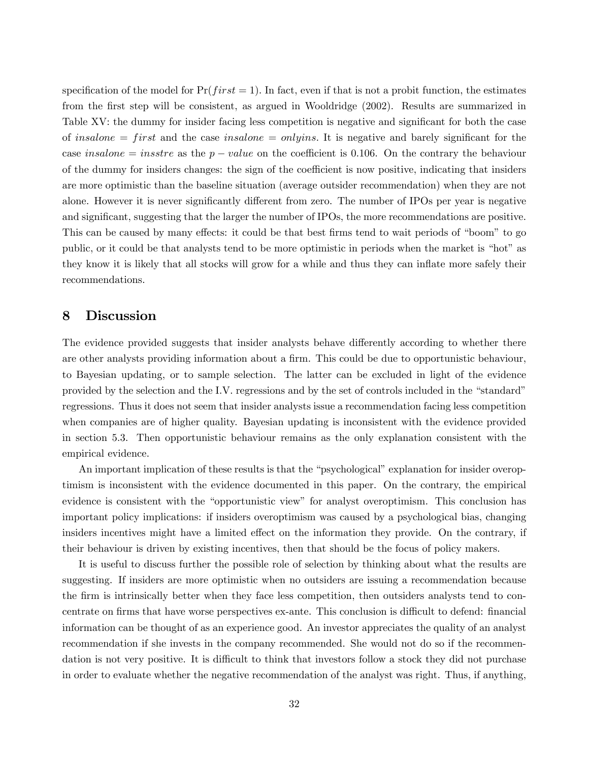specification of the model for  $Pr(first = 1)$ . In fact, even if that is not a probit function, the estimates from the first step will be consistent, as argued in Wooldridge (2002). Results are summarized in Table XV: the dummy for insider facing less competition is negative and significant for both the case of insalone = first and the case insalone = only ins. It is negative and barely significant for the case insalone = insstre as the  $p-value$  on the coefficient is 0.106. On the contrary the behaviour of the dummy for insiders changes: the sign of the coefficient is now positive, indicating that insiders are more optimistic than the baseline situation (average outsider recommendation) when they are not alone. However it is never significantly different from zero. The number of IPOs per year is negative and significant, suggesting that the larger the number of IPOs, the more recommendations are positive. This can be caused by many effects: it could be that best firms tend to wait periods of "boom" to go public, or it could be that analysts tend to be more optimistic in periods when the market is "hot" as they know it is likely that all stocks will grow for a while and thus they can inflate more safely their recommendations.

# 8 Discussion

The evidence provided suggests that insider analysts behave differently according to whether there are other analysts providing information about a firm. This could be due to opportunistic behaviour, to Bayesian updating, or to sample selection. The latter can be excluded in light of the evidence provided by the selection and the I.V. regressions and by the set of controls included in the "standard" regressions. Thus it does not seem that insider analysts issue a recommendation facing less competition when companies are of higher quality. Bayesian updating is inconsistent with the evidence provided in section 5.3. Then opportunistic behaviour remains as the only explanation consistent with the empirical evidence.

An important implication of these results is that the "psychological" explanation for insider overoptimism is inconsistent with the evidence documented in this paper. On the contrary, the empirical evidence is consistent with the "opportunistic view" for analyst overoptimism. This conclusion has important policy implications: if insiders overoptimism was caused by a psychological bias, changing insiders incentives might have a limited effect on the information they provide. On the contrary, if their behaviour is driven by existing incentives, then that should be the focus of policy makers.

It is useful to discuss further the possible role of selection by thinking about what the results are suggesting. If insiders are more optimistic when no outsiders are issuing a recommendation because the firm is intrinsically better when they face less competition, then outsiders analysts tend to concentrate on firms that have worse perspectives ex-ante. This conclusion is difficult to defend: financial information can be thought of as an experience good. An investor appreciates the quality of an analyst recommendation if she invests in the company recommended. She would not do so if the recommendation is not very positive. It is difficult to think that investors follow a stock they did not purchase in order to evaluate whether the negative recommendation of the analyst was right. Thus, if anything,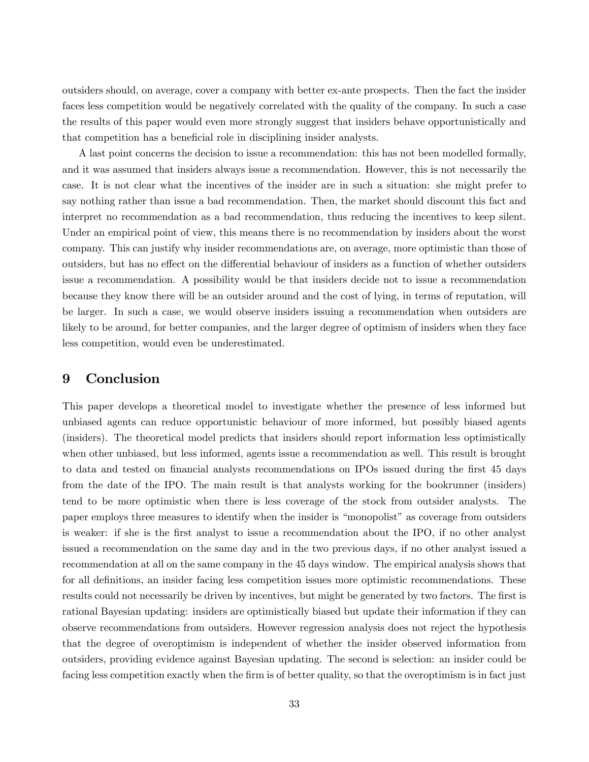outsiders should, on average, cover a company with better ex-ante prospects. Then the fact the insider faces less competition would be negatively correlated with the quality of the company. In such a case the results of this paper would even more strongly suggest that insiders behave opportunistically and that competition has a beneficial role in disciplining insider analysts.

A last point concerns the decision to issue a recommendation: this has not been modelled formally, and it was assumed that insiders always issue a recommendation. However, this is not necessarily the case. It is not clear what the incentives of the insider are in such a situation: she might prefer to say nothing rather than issue a bad recommendation. Then, the market should discount this fact and interpret no recommendation as a bad recommendation, thus reducing the incentives to keep silent. Under an empirical point of view, this means there is no recommendation by insiders about the worst company. This can justify why insider recommendations are, on average, more optimistic than those of outsiders, but has no effect on the differential behaviour of insiders as a function of whether outsiders issue a recommendation. A possibility would be that insiders decide not to issue a recommendation because they know there will be an outsider around and the cost of lying, in terms of reputation, will be larger. In such a case, we would observe insiders issuing a recommendation when outsiders are likely to be around, for better companies, and the larger degree of optimism of insiders when they face less competition, would even be underestimated.

# 9 Conclusion

This paper develops a theoretical model to investigate whether the presence of less informed but unbiased agents can reduce opportunistic behaviour of more informed, but possibly biased agents (insiders). The theoretical model predicts that insiders should report information less optimistically when other unbiased, but less informed, agents issue a recommendation as well. This result is brought to data and tested on financial analysts recommendations on IPOs issued during the first 45 days from the date of the IPO. The main result is that analysts working for the bookrunner (insiders) tend to be more optimistic when there is less coverage of the stock from outsider analysts. The paper employs three measures to identify when the insider is "monopolist" as coverage from outsiders is weaker: if she is the Örst analyst to issue a recommendation about the IPO, if no other analyst issued a recommendation on the same day and in the two previous days, if no other analyst issued a recommendation at all on the same company in the 45 days window. The empirical analysis shows that for all definitions, an insider facing less competition issues more optimistic recommendations. These results could not necessarily be driven by incentives, but might be generated by two factors. The first is rational Bayesian updating: insiders are optimistically biased but update their information if they can observe recommendations from outsiders. However regression analysis does not reject the hypothesis that the degree of overoptimism is independent of whether the insider observed information from outsiders, providing evidence against Bayesian updating. The second is selection: an insider could be facing less competition exactly when the firm is of better quality, so that the overoptimism is in fact just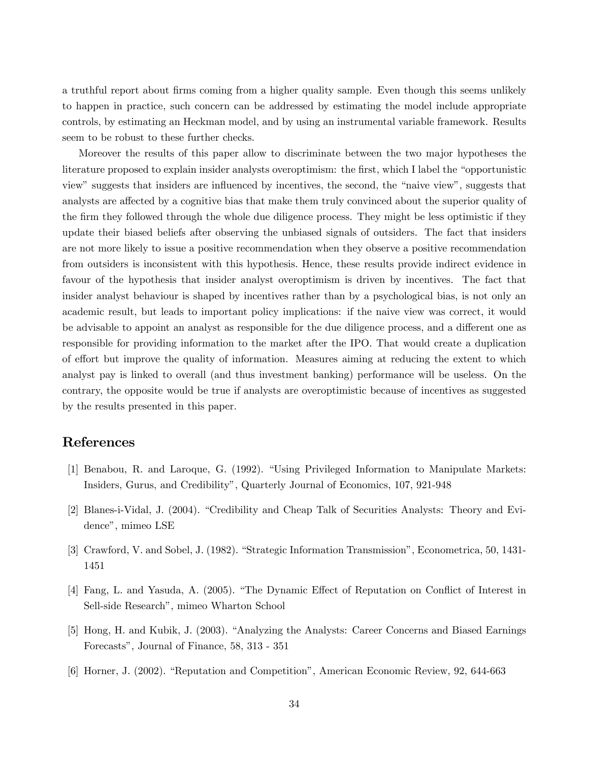a truthful report about firms coming from a higher quality sample. Even though this seems unlikely to happen in practice, such concern can be addressed by estimating the model include appropriate controls, by estimating an Heckman model, and by using an instrumental variable framework. Results seem to be robust to these further checks.

Moreover the results of this paper allow to discriminate between the two major hypotheses the literature proposed to explain insider analysts overoptimism: the first, which I label the "opportunistic view" suggests that insiders are influenced by incentives, the second, the "naive view", suggests that analysts are affected by a cognitive bias that make them truly convinced about the superior quality of the firm they followed through the whole due diligence process. They might be less optimistic if they update their biased beliefs after observing the unbiased signals of outsiders. The fact that insiders are not more likely to issue a positive recommendation when they observe a positive recommendation from outsiders is inconsistent with this hypothesis. Hence, these results provide indirect evidence in favour of the hypothesis that insider analyst overoptimism is driven by incentives. The fact that insider analyst behaviour is shaped by incentives rather than by a psychological bias, is not only an academic result, but leads to important policy implications: if the naive view was correct, it would be advisable to appoint an analyst as responsible for the due diligence process, and a different one as responsible for providing information to the market after the IPO. That would create a duplication of effort but improve the quality of information. Measures aiming at reducing the extent to which analyst pay is linked to overall (and thus investment banking) performance will be useless. On the contrary, the opposite would be true if analysts are overoptimistic because of incentives as suggested by the results presented in this paper.

# References

- [1] Benabou, R. and Laroque, G. (1992). "Using Privileged Information to Manipulate Markets: Insiders, Gurus, and Credibilityî, Quarterly Journal of Economics, 107, 921-948
- [2] Blanes-i-Vidal, J. (2004). "Credibility and Cheap Talk of Securities Analysts: Theory and Evidence", mimeo LSE
- [3] Crawford, V. and Sobel, J. (1982). "Strategic Information Transmission", Econometrica, 50, 1431-1451
- [4] Fang, L. and Yasuda, A. (2005). "The Dynamic Effect of Reputation on Conflict of Interest in Sell-side Research<sup>"</sup>, mimeo Wharton School
- [5] Hong, H. and Kubik, J. (2003). "Analyzing the Analysts: Career Concerns and Biased Earnings Forecasts", Journal of Finance, 58, 313 - 351
- [6] Horner, J. (2002). "Reputation and Competition", American Economic Review, 92, 644-663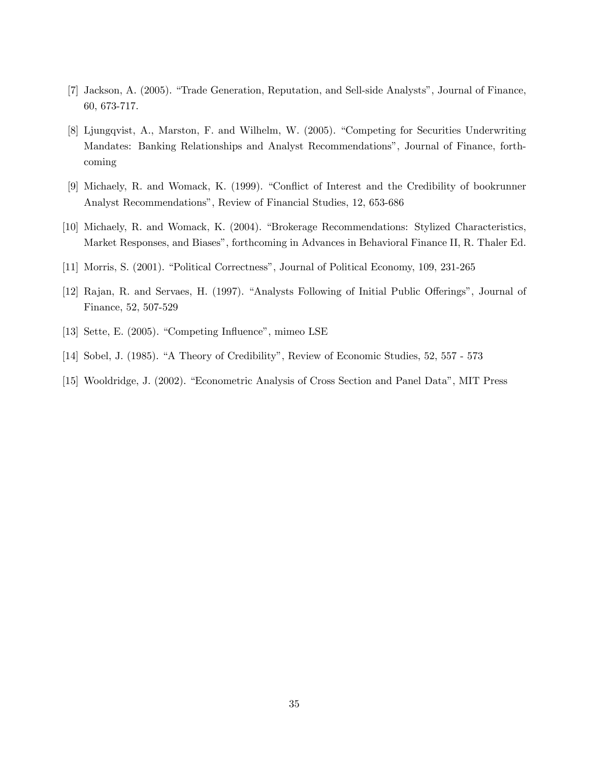- [7] Jackson, A. (2005). "Trade Generation, Reputation, and Sell-side Analysts", Journal of Finance, 60, 673-717.
- [8] Ljungqvist, A., Marston, F. and Wilhelm, W. (2005). "Competing for Securities Underwriting Mandates: Banking Relationships and Analyst Recommendations<sup>"</sup>, Journal of Finance, forthcoming
- [9] Michaely, R. and Womack, K. (1999). "Conflict of Interest and the Credibility of bookrunner Analyst Recommendations", Review of Financial Studies, 12, 653-686
- [10] Michaely, R. and Womack, K. (2004). "Brokerage Recommendations: Stylized Characteristics, Market Responses, and Biases", forthcoming in Advances in Behavioral Finance II, R. Thaler Ed.
- [11] Morris, S. (2001). "Political Correctness", Journal of Political Economy, 109, 231-265
- [12] Rajan, R. and Servaes, H. (1997). "Analysts Following of Initial Public Offerings", Journal of Finance, 52, 507-529
- [13] Sette, E.  $(2005)$ . "Competing Influence", mimeo LSE
- [14] Sobel, J. (1985). "A Theory of Credibility", Review of Economic Studies, 52, 557 573
- [15] Wooldridge, J. (2002). "Econometric Analysis of Cross Section and Panel Data", MIT Press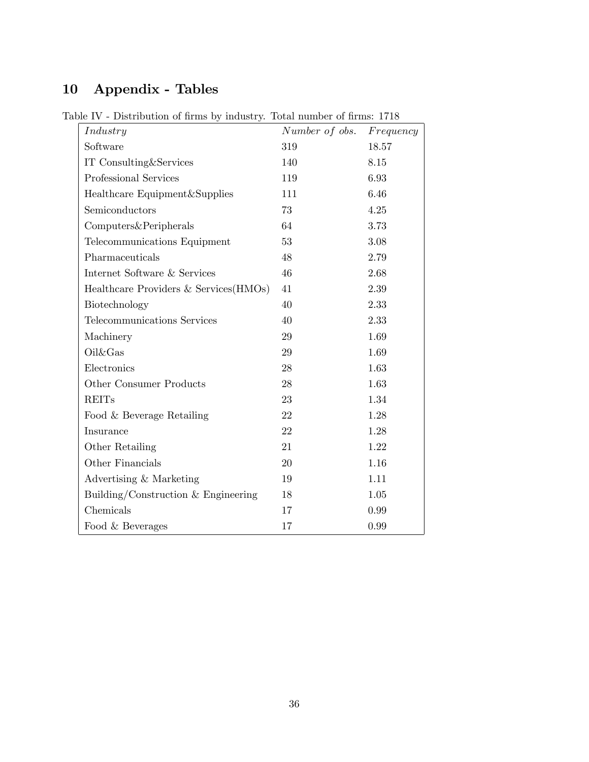# 10 Appendix - Tables

| Industry                               | Number of obs. | $Frequency$ |
|----------------------------------------|----------------|-------------|
| Software                               | 319            | 18.57       |
| IT Consulting&Services                 | 140            | 8.15        |
| Professional Services                  | 119            | 6.93        |
| Healthcare Equipment&Supplies          | 111            | 6.46        |
| Semiconductors                         | 73             | $4.25\,$    |
| Computers&Peripherals                  | 64             | 3.73        |
| Telecommunications Equipment           | 53             | 3.08        |
| Pharmaceuticals                        | 48             | 2.79        |
| Internet Software & Services           | 46             | 2.68        |
| Healthcare Providers & Services (HMOs) | 41             | 2.39        |
| Biotechnology                          | 40             | 2.33        |
| Telecommunications Services            | 40             | 2.33        |
| Machinery                              | 29             | 1.69        |
| Oil&Gas                                | 29             | 1.69        |
| Electronics                            | 28             | 1.63        |
| Other Consumer Products                | 28             | 1.63        |
| <b>REITs</b>                           | 23             | 1.34        |
| Food & Beverage Retailing              | 22             | 1.28        |
| Insurance                              | 22             | 1.28        |
| Other Retailing                        | 21             | 1.22        |
| Other Financials                       | 20             | 1.16        |
| Advertising & Marketing                | 19             | 1.11        |
| Building/Construction & Engineering    | 18             | 1.05        |
| Chemicals                              | 17             | 0.99        |
| Food & Beverages                       | 17             | 0.99        |

Table IV - Distribution of firms by industry. Total number of firms:  $1718\,$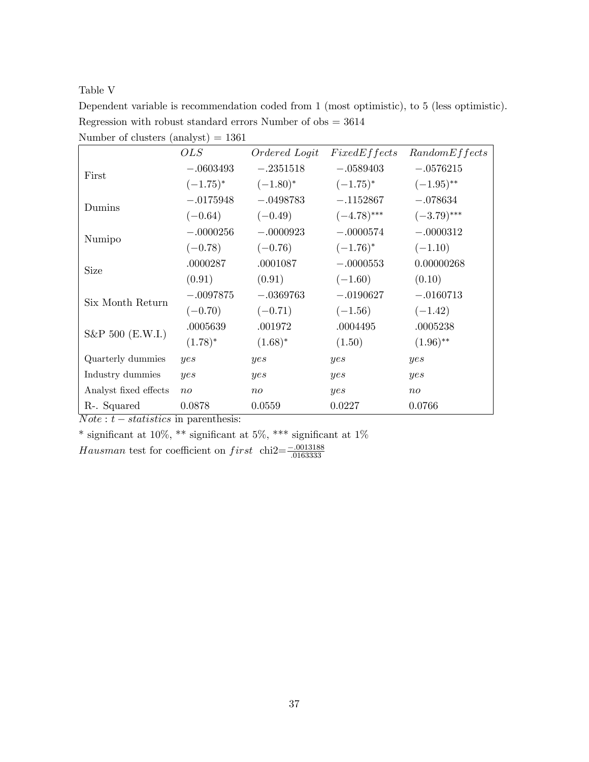Table V

| Dependent variable is recommendation coded from 1 (most optimistic), to 5 (less optimistic). |
|----------------------------------------------------------------------------------------------|
| Regression with robust standard errors Number of $\omega$ bs = 3614                          |
| Number of clusters $(analyst) = 1361$                                                        |

|                       | OLS         | Ordered Logit | FixedEffects  | RandomEffects |
|-----------------------|-------------|---------------|---------------|---------------|
| First                 | $-.0603493$ | $-.2351518$   | $-.0589403$   | $-.0576215$   |
|                       | $(-1.75)^*$ | $(-1.80)^*$   | $(-1.75)^*$   | $(-1.95)$ **  |
| Dumins                | $-.0175948$ | $-.0498783$   | $-.1152867$   | $-.078634$    |
|                       | $(-0.64)$   | $(-0.49)$     | $(-4.78)$ *** | $(-3.79)$ *** |
| Numipo                | $-.0000256$ | $-.0000923$   | $-.0000574$   | $-.0000312$   |
|                       | $(-0.78)$   | $(-0.76)$     | $(-1.76)^*$   | $(-1.10)$     |
| <b>Size</b>           | .0000287    | .0001087      | $-.0000553$   | 0.00000268    |
|                       | (0.91)      | (0.91)        | $(-1.60)$     | (0.10)        |
| Six Month Return      | $-.0097875$ | $-.0369763$   | $-.0190627$   | $-.0160713$   |
|                       | $(-0.70)$   | $(-0.71)$     | $(-1.56)$     | $(-1.42)$     |
| S&P 500 (E.W.I.)      | .0005639    | .001972       | .0004495      | .0005238      |
|                       | $(1.78)^*$  | $(1.68)^*$    | (1.50)        | $(1.96)$ **   |
| Quarterly dummies     | yes         | yes           | yes           | yes           |
| Industry dummies      | yes         | yes           | yes           | yes           |
| Analyst fixed effects | $n_{O}$     | $n_{O}$       | yes           | $n_{O}$       |
| R-. Squared           | 0.0878      | 0.0559        | 0.0227        | 0.0766        |

 $Note: t-statistics$  in parenthesis:

 $^*$  significant at 10%,  $^{**}$  significant at  $1\%$ 

Hausman test for coefficient on  $first \text{ chi2} = \frac{-.0013188}{.0163333}$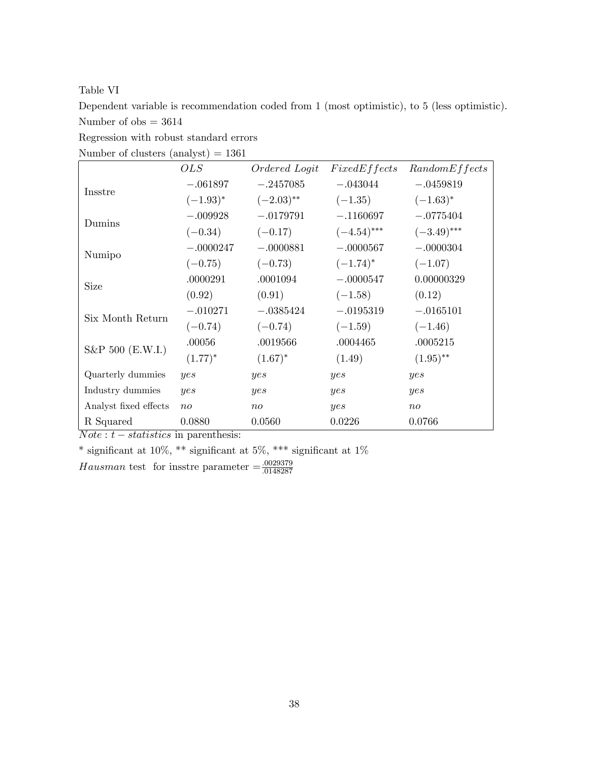Table VI

Dependent variable is recommendation coded from 1 (most optimistic), to 5 (less optimistic). Number of  $obs = 3614$ 

Regression with robust standard errors

| $\mu$ and $\mu$ crusters (aliaryse) $-$ 1901 |               |               |               |               |
|----------------------------------------------|---------------|---------------|---------------|---------------|
|                                              | OLS           | Ordered Logit | FixedEffects  | RandomEffects |
|                                              | $-.061897$    | $-.2457085$   | $-.043044$    | $-.0459819$   |
| Insstre                                      | $(-1.93)^{*}$ | $(-2.03)$ **  | $(-1.35)$     | $(-1.63)^*$   |
| Dumins                                       | $-.009928$    | $-.0179791$   | $-.1160697$   | $-.0775404$   |
|                                              | $(-0.34)$     | $(-0.17)$     | $(-4.54)$ *** | $(-3.49)$ *** |
| Numipo                                       | $-.0000247$   | $-.0000881$   | $-.0000567$   | $-.0000304$   |
|                                              | $(-0.75)$     | $(-0.73)$     | $(-1.74)^*$   | $(-1.07)$     |
| <b>Size</b>                                  | .0000291      | .0001094      | $-.0000547$   | 0.00000329    |
|                                              | (0.92)        | (0.91)        | $(-1.58)$     | (0.12)        |
| Six Month Return                             | $-.010271$    | $-.0385424$   | $-.0195319$   | $-.0165101$   |
|                                              | $(-0.74)$     | $(-0.74)$     | $(-1.59)$     | $(-1.46)$     |
| S&P 500 (E.W.I.)                             | .00056        | .0019566      | .0004465      | .0005215      |
|                                              | $(1.77)^*$    | $(1.67)^*$    | (1.49)        | $(1.95)$ **   |
| Quarterly dummies                            | yes           | yes           | yes           | yes           |
| Industry dummies                             | yes           | yes           | yes           | yes           |
| Analyst fixed effects                        | $n_{O}$       | $n_{0}$       | yes           | $n_{O}$       |
| R Squared                                    | 0.0880        | 0.0560        | 0.0226        | 0.0766        |

Number of clusters  $(analyst) = 1361$ 

 $Note: t-statistics$  in parenthesis:

 $^*$  significant at 10%,  $^{**}$  significant at  $1\%$ 

Hausman test for insstre parameter  $=\frac{.0029379}{.0148287}$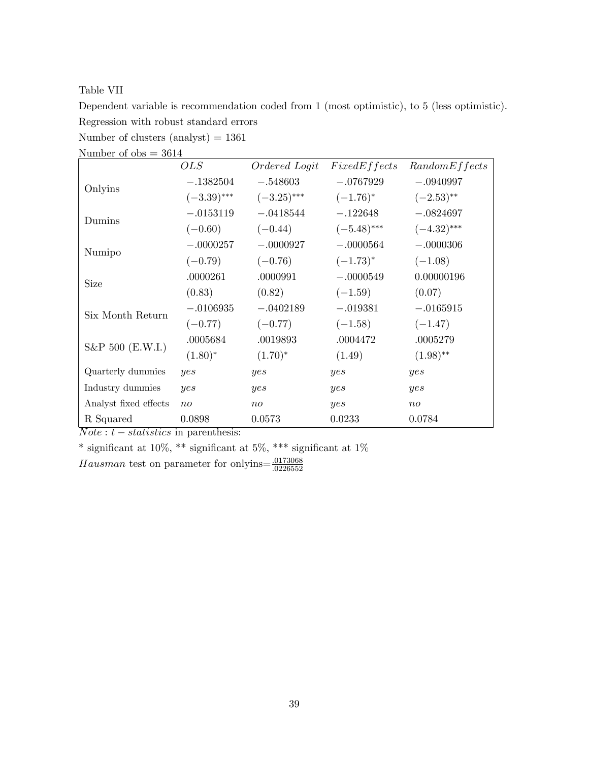Table VII

Dependent variable is recommendation coded from 1 (most optimistic), to 5 (less optimistic). Regression with robust standard errors

Number of clusters  $(analyst) = 1361$ 

| $M$ and $M$ or $M$ $\rightarrow$ $M$ <sup><math>\pm</math></sup> |               |               |               |               |
|------------------------------------------------------------------|---------------|---------------|---------------|---------------|
|                                                                  | OLS           | Ordered Logit | FixedEffects  | RandomEffects |
| Onlyins                                                          | $-.1382504$   | $-.548603$    | $-.0767929$   | $-.0940997$   |
|                                                                  | $(-3.39)$ *** | $(-3.25)$ *** | $(-1.76)^*$   | $(-2.53)$ **  |
| Dumins                                                           | $-.0153119$   | $-.0418544$   | $-.122648$    | $-.0824697$   |
|                                                                  | $(-0.60)$     | $(-0.44)$     | $(-5.48)$ *** | $(-4.32)$ *** |
| Numipo                                                           | $-.0000257$   | $-.0000927$   | $-.0000564$   | $-.0000306$   |
|                                                                  | $(-0.79)$     | $(-0.76)$     | $(-1.73)^*$   | $(-1.08)$     |
| <b>Size</b>                                                      | .0000261      | .0000991      | $-.0000549$   | 0.00000196    |
|                                                                  | (0.83)        | (0.82)        | $(-1.59)$     | (0.07)        |
| Six Month Return                                                 | $-.0106935$   | $-.0402189$   | $-.019381$    | $-.0165915$   |
|                                                                  | $(-0.77)$     | $(-0.77)$     | $(-1.58)$     | $(-1.47)$     |
|                                                                  | .0005684      | .0019893      | .0004472      | .0005279      |
| S&P 500 (E.W.I.)                                                 | $(1.80)^*$    | $(1.70)^*$    | (1.49)        | $(1.98)$ **   |
| Quarterly dummies                                                | yes           | yes           | yes           | yes           |
| Industry dummies                                                 | yes           | yes           | yes           | yes           |
| Analyst fixed effects                                            | $n_{O}$       | $n_{O}$       | yes           | $n_{O}$       |
| R Squared                                                        | 0.0898        | 0.0573        | 0.0233        | 0.0784        |

Number of  $obs = 3614$ 

 $Note: t-statistics$  in parenthesis:

 $^*$  significant at 10%,  $^{**}$  significant at  $1\%$ 

Hausman test on parameter for onlyins  $=\frac{.0173068}{.0226552}$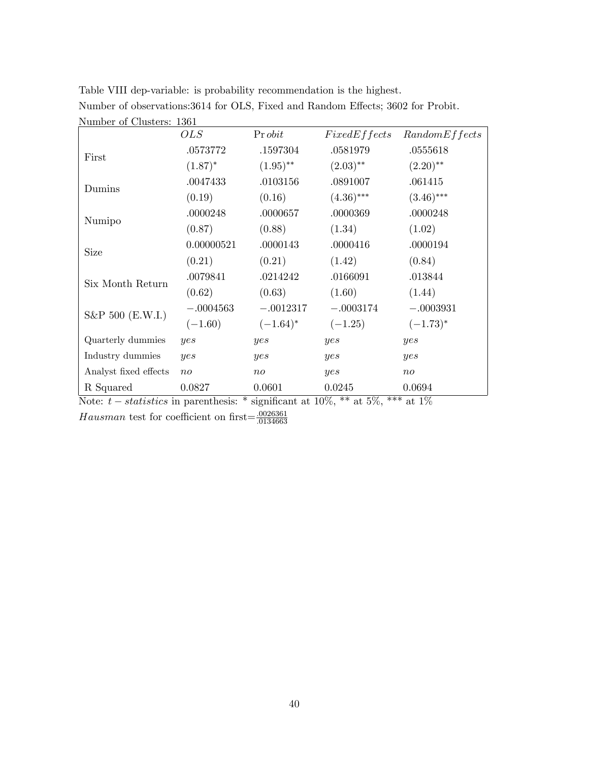| LATTELLE OF CHRISTIS, 1901 |                 |                |              |               |
|----------------------------|-----------------|----------------|--------------|---------------|
|                            | OLS             | Pr <i>obit</i> | FixedEffects | RandomEffects |
|                            | .0573772        | .1597304       | .0581979     | .0555618      |
| First                      | $(1.87)^*$      | $(1.95)$ **    | $(2.03)$ **  | $(2.20)$ **   |
| Dumins                     | .0047433        | .0103156       | .0891007     | .061415       |
|                            | (0.19)          | (0.16)         | $(4.36)$ *** | $(3.46)$ ***  |
|                            | .0000248        | .0000657       | .0000369     | .0000248      |
| Numipo                     | (0.87)          | (0.88)         | (1.34)       | (1.02)        |
| Size                       | 0.00000521      | .0000143       | .0000416     | .0000194      |
|                            | (0.21)          | (0.21)         | (1.42)       | (0.84)        |
|                            | .0079841        | .0214242       | .0166091     | .013844       |
| Six Month Return           | (0.62)          | (0.63)         | (1.60)       | (1.44)        |
| S&P 500 (E.W.I.)           | $-.0004563$     | $-.0012317$    | $-.0003174$  | $-.0003931$   |
|                            | $(-1.60)$       | $(-1.64)^*$    | $(-1.25)$    | $(-1.73)^*$   |
| Quarterly dummies          | yes             | yes            | yes          | yes           |
| Industry dummies           | yes             | yes            | yes          | yes           |
| Analyst fixed effects      | $\overline{no}$ | $n_{O}$        | yes          | $n_{O}$       |
| R Squared                  | 0.0827          | 0.0601         | 0.0245       | 0.0694        |

Table VIII dep-variable: is probability recommendation is the highest. Number of observations:3614 for OLS, Fixed and Random Effects; 3602 for Probit. Number of Clusters: 1361

Note:  $t - statistics$  in parenthesis: \* significant at 10%, \*\* at 5%, \*\*\* at 1% Hausman test for coefficient on first= $\frac{.0026361}{.0134663}$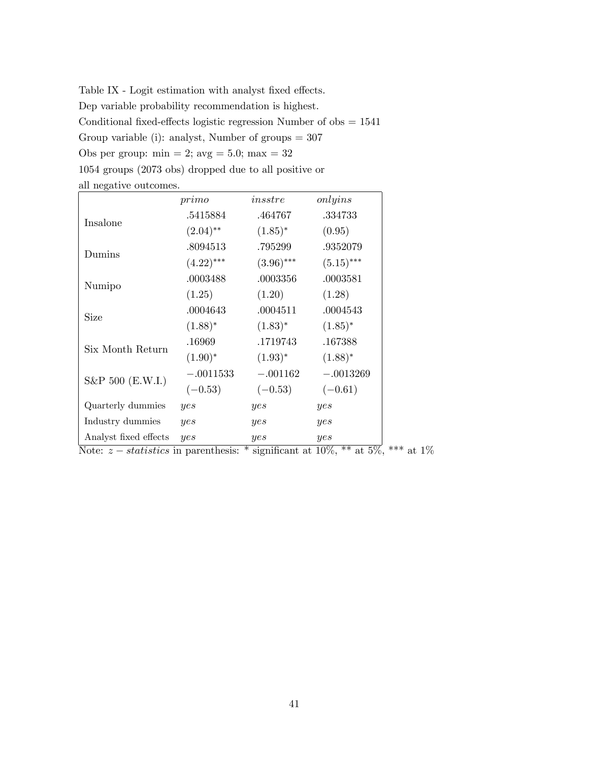Table IX - Logit estimation with analyst fixed effects. Dep variable probability recommendation is highest. Conditional fixed-effects logistic regression Number of obs  $= 1541$ Group variable (i): analyst, Number of groups  $= 307$ Obs per group:  $min = 2$ ;  $avg = 5.0$ ;  $max = 32$ 1054 groups (2073 obs) dropped due to all positive or all negative outcomes.

|                       | primo        | in sstre     | onlyins      |
|-----------------------|--------------|--------------|--------------|
|                       | .5415884     | .464767      | .334733      |
| Insalone              | $(2.04)$ **  | $(1.85)^*$   | (0.95)       |
|                       | .8094513     | .795299      | .9352079     |
| Dumins                | $(4.22)$ *** | $(3.96)$ *** | $(5.15)$ *** |
|                       | .0003488     | .0003356     | .0003581     |
| Numipo                | (1.25)       | (1.20)       | (1.28)       |
|                       | .0004643     | .0004511     | .0004543     |
| Size                  | $(1.88)^*$   | $(1.83)^*$   | $(1.85)^*$   |
| Six Month Return      | .16969       | .1719743     | .167388      |
|                       | $(1.90)^*$   | $(1.93)^*$   | $(1.88)^*$   |
|                       | $-.0011533$  | $-.001162$   | $-.0013269$  |
| S&P 500 (E.W.I.)      | $(-0.53)$    | $(-0.53)$    | $(-0.61)$    |
| Quarterly dummies     | yes          | yes          | yes          |
| Industry dummies      | yes          | yes          | yes          |
| Analyst fixed effects | yes          | yes          | yes          |

Note:  $z - statistics$  in parenthesis: \* significant at 10%, \*\* at 5%, \*\*\* at 1%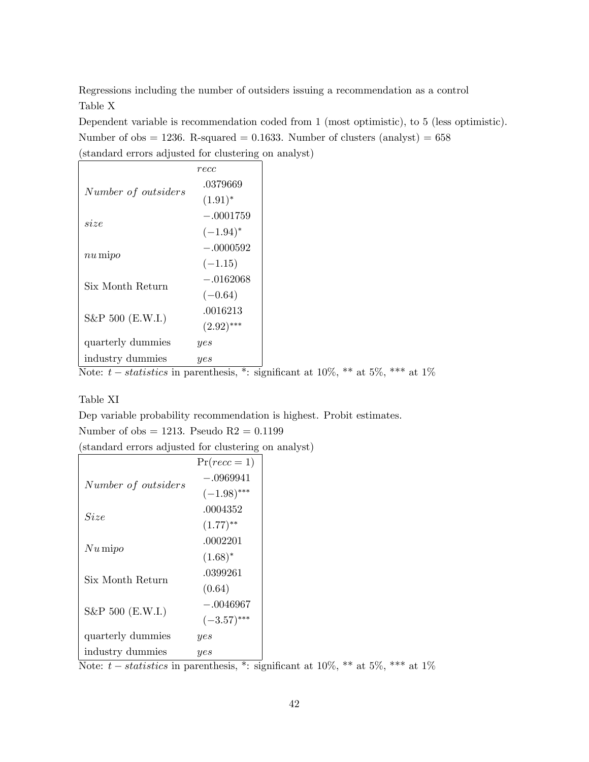Regressions including the number of outsiders issuing a recommendation as a control Table X

Dependent variable is recommendation coded from 1 (most optimistic), to 5 (less optimistic). Number of obs  $= 1236$ . R-squared  $= 0.1633$ . Number of clusters (analyst)  $= 658$ (standard errors adjusted for clustering on analyst)

|                     | recc          |
|---------------------|---------------|
| Number of outsiders | .0379669      |
|                     | $(1.91)^*$    |
| size                | $-.0001759$   |
|                     | $(-1.94)^{*}$ |
|                     | $-.0000592$   |
| $nu\,\text{mipo}$   | $(-1.15)$     |
|                     | $-.0162068$   |
| Six Month Return    | $(-0.64)$     |
| S&P 500 (E.W.I.)    | .0016213      |
|                     | $(2.92)$ ***  |
| quarterly dummies   | yes           |
| industry dummies    | yes           |

Note:  $t - statistics$  in parenthesis, \*: significant at  $10\%$ , \*\* at  $5\%$ , \*\*\* at  $1\%$ 

### Table XI

Dep variable probability recommendation is highest. Probit estimates.

Number of  $obs = 1213$ . Pseudo  $R2 = 0.1199$ 

(standard errors adjusted for clustering on analyst)

|                     | $Pr(recc=1)$           |
|---------------------|------------------------|
| Number of outsiders | $-.0969941$            |
|                     | $(-1.98)$ ***          |
| Size                | .0004352               |
|                     | $(1.77)$ <sup>**</sup> |
|                     | .0002201               |
| $Nu\,\mathrm{mipo}$ | $(1.68)^*$             |
| Six Month Return    | .0399261               |
|                     | (0.64)                 |
| $S\&P 500$ (E.W.I.) | $-.0046967$            |
|                     | $(-3.57)$ ***          |
| quarterly dummies   | yes                    |
| industry dummies    | yes                    |

Note:  $t - statistics$  in parenthesis, \*: significant at 10%, \*\* at 5%, \*\*\* at 1%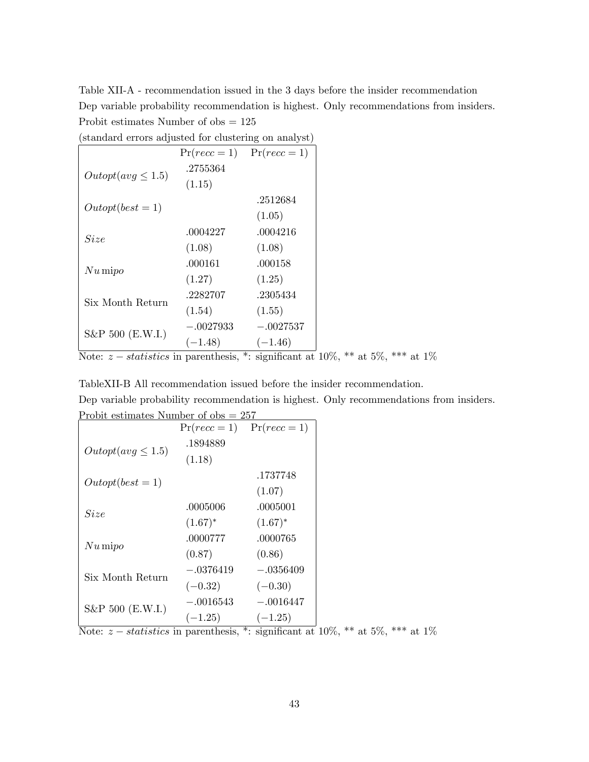Table XII-A - recommendation issued in the 3 days before the insider recommendation Dep variable probability recommendation is highest. Only recommendations from insiders. Probit estimates Number of obs = 125

|                        | $Pr(recc=1)$ | $Pr(recc=1)$ |
|------------------------|--------------|--------------|
| $Output(avg \leq 1.5)$ | .2755364     |              |
|                        | (1.15)       |              |
|                        |              | .2512684     |
| $Output(best = 1)$     |              | (1.05)       |
| Size                   | .0004227     | .0004216     |
|                        | (1.08)       | (1.08)       |
|                        | .000161      | .000158      |
| $Nu\,\mathrm{mipo}$    | (1.27)       | (1.25)       |
| Six Month Return       | .2282707     | .2305434     |
|                        | (1.54)       | (1.55)       |
| S&P 500 (E.W.I.)       | $-.0027933$  | $-.0027537$  |
|                        | $(-1.48)$    | $(-1.46)$    |

Note:  $z - statistics$  in parenthesis, \*: significant at  $10\%$ , \*\* at  $5\%$ , \*\*\* at  $1\%$ 

TableXII-B All recommendation issued before the insider recommendation.

Dep variable probability recommendation is highest. Only recommendations from insiders. Probit estimates Number of  $obs = 257$ 

|                        |             | $Pr(recc = 1)$ $Pr(recc = 1)$ |
|------------------------|-------------|-------------------------------|
| $Output(avg \leq 1.5)$ | .1894889    |                               |
|                        | (1.18)      |                               |
| $Output(best = 1)$     |             | .1737748                      |
|                        |             | (1.07)                        |
| Size                   | .0005006    | .0005001                      |
|                        | $(1.67)^*$  | $(1.67)^*$                    |
| $Nu\,\mathrm{mipo}$    | .0000777    | .0000765                      |
|                        | (0.87)      | (0.86)                        |
| Six Month Return       | $-.0376419$ | $-.0356409$                   |
|                        | $(-0.32)$   | $(-0.30)$                     |
|                        | $-.0016543$ | $-.0016447$                   |
| S&P 500 (E.W.I.)       | $(-1.25)$   | $(-1.25)$                     |

Note:  $z - statistics$  in parenthesis, \*: significant at  $10\%$ , \*\* at  $5\%$ , \*\*\* at  $1\%$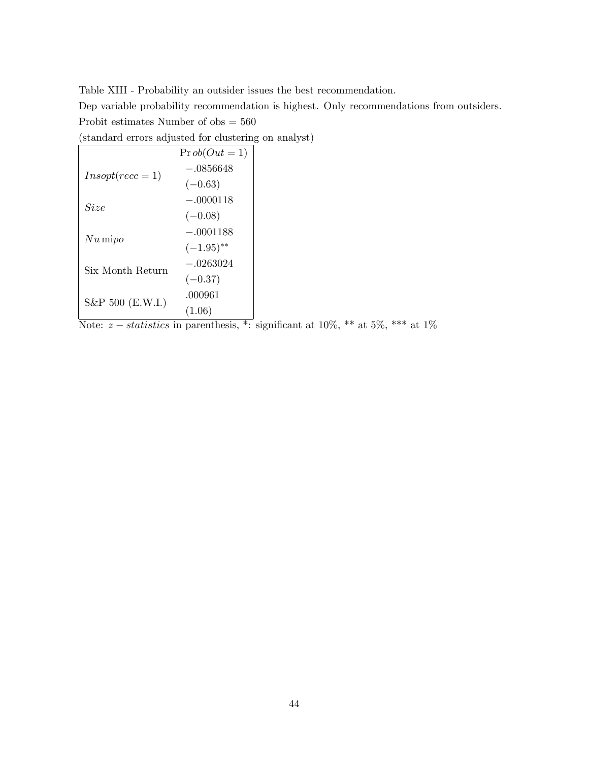Table XIII - Probability an outsider issues the best recommendation.

Dep variable probability recommendation is highest. Only recommendations from outsiders. Probit estimates Number of obs = 560

(standard errors adjusted for clustering on analyst)

|                     | $\Pr{ob}(Out = 1)$      |  |
|---------------------|-------------------------|--|
| $Insopt(rec = 1)$   | $-.0856648$             |  |
|                     | $(-0.63)$               |  |
| Size                | $-.0000118$             |  |
|                     | $(-0.08)$               |  |
| $Nu\,\mathrm{mipo}$ | $-.0001188$             |  |
|                     | $(-1.95)$ <sup>**</sup> |  |
| Six Month Return    | $-.0263024$             |  |
|                     | $(-0.37)$               |  |
|                     | .000961                 |  |
| S&P 500 (E.W.I.)    | (1.06)                  |  |

Note:  $z - statistics$  in parenthesis, \*: significant at  $10\%$ , \*\* at  $5\%$ , \*\*\* at  $1\%$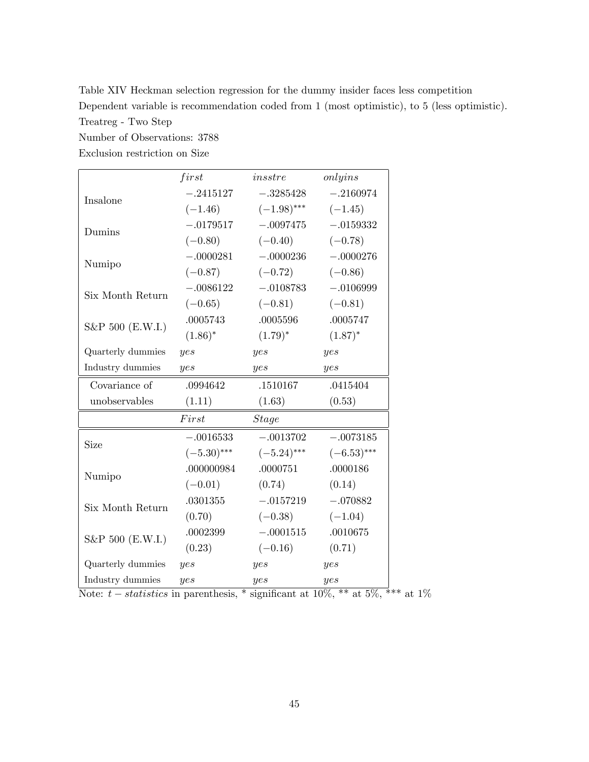Table XIV Heckman selection regression for the dummy insider faces less competition Dependent variable is recommendation coded from 1 (most optimistic), to 5 (less optimistic). Treatreg - Two Step

Number of Observations: 3788

Exclusion restriction on Size

|                   | first         | in sstre      | onlyins       |
|-------------------|---------------|---------------|---------------|
|                   |               |               |               |
| Insalone          | $-.2415127$   | $-.3285428$   | $-.2160974$   |
|                   | $(-1.46)$     | $(-1.98)$ *** | $(-1.45)$     |
| Dumins            | $-.0179517$   | $-.0097475$   | $-.0159332$   |
|                   | $(-0.80)$     | $(-0.40)$     | $(-0.78)$     |
|                   | $-.0000281$   | $-.0000236$   | $-.0000276$   |
| Numipo            | $(-0.87)$     | $(-0.72)$     | $(-0.86)$     |
|                   | $-.0086122$   | $-.0108783$   | $-.0106999$   |
| Six Month Return  | $(-0.65)$     | $(-0.81)$     | $(-0.81)$     |
|                   | .0005743      | .0005596      | .0005747      |
| S&P 500 (E.W.I.)  | $(1.86)^*$    | $(1.79)^*$    | $(1.87)^*$    |
| Quarterly dummies | yes           | yes           | yes           |
| Industry dummies  | yes           | yes           | yes           |
| Covariance of     | .0994642      | .1510167      | .0415404      |
| unobservables     | (1.11)        | (1.63)        | (0.53)        |
|                   | First         | <b>Stage</b>  |               |
| Size              | $-.0016533$   | $-.0013702$   | $-.0073185$   |
|                   | $(-5.30)$ *** | $(-5.24)$ *** | $(-6.53)$ *** |
|                   | .000000984    | .0000751      | .0000186      |
| Numipo            | $(-0.01)$     | (0.74)        | (0.14)        |
|                   | .0301355      | $-.0157219$   | $-.070882$    |
| Six Month Return  | (0.70)        | $(-0.38)$     | $(-1.04)$     |
|                   | .0002399      | $-.0001515$   | .0010675      |
| S&P 500 (E.W.I.)  | (0.23)        | $(-0.16)$     | (0.71)        |
| Quarterly dummies | yes           | yes           | yes           |
| Industry dummies  | yes           | yes           | yes           |

Note:  $t - statistics$  in parenthesis, \* significant at 10%, \*\* at 5%, \*\*\* at 1%